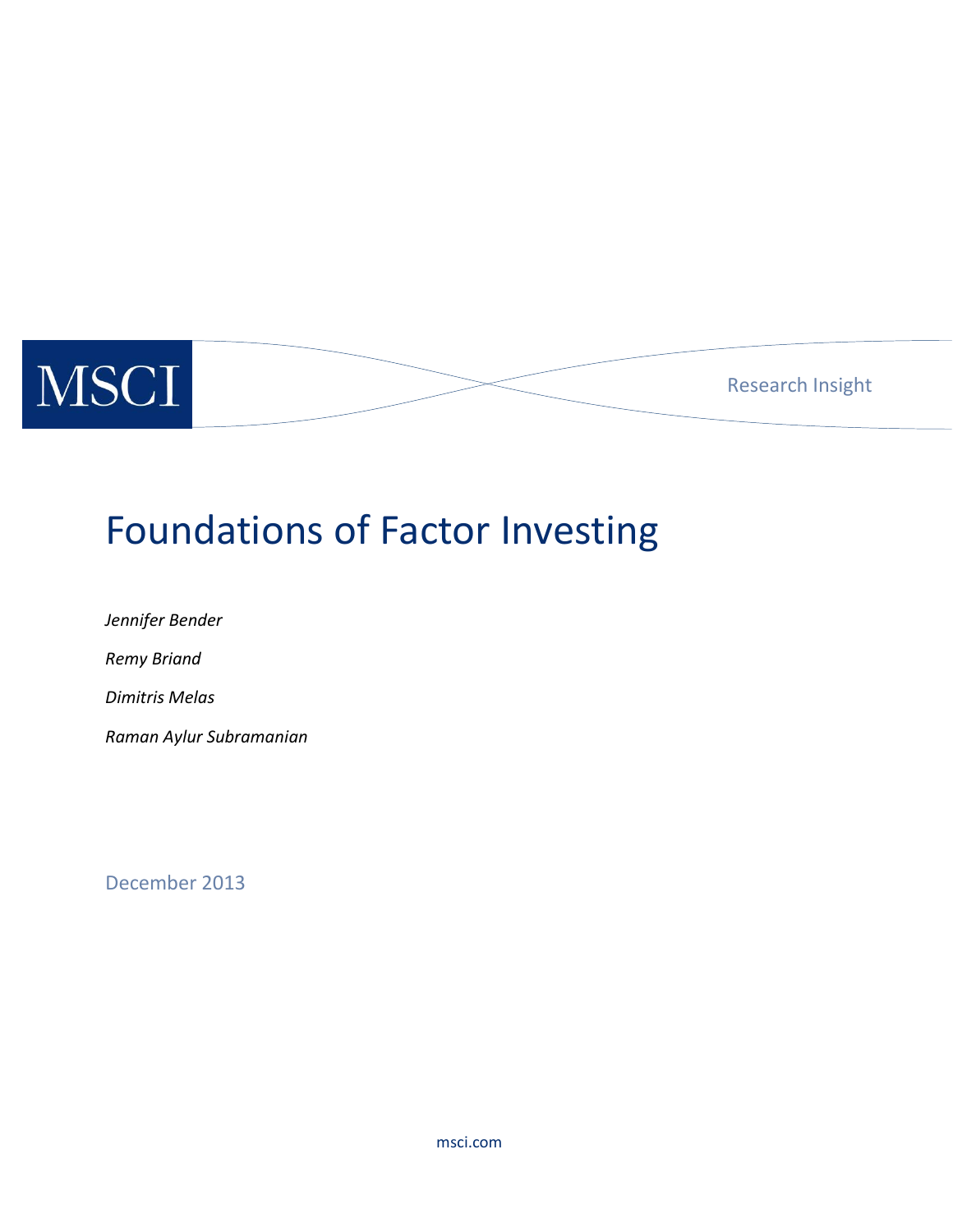

# Foundations of Factor Investing

*Jennifer Bender Remy Briand Dimitris Melas Raman Aylur Subramanian*

December 2013

msci.com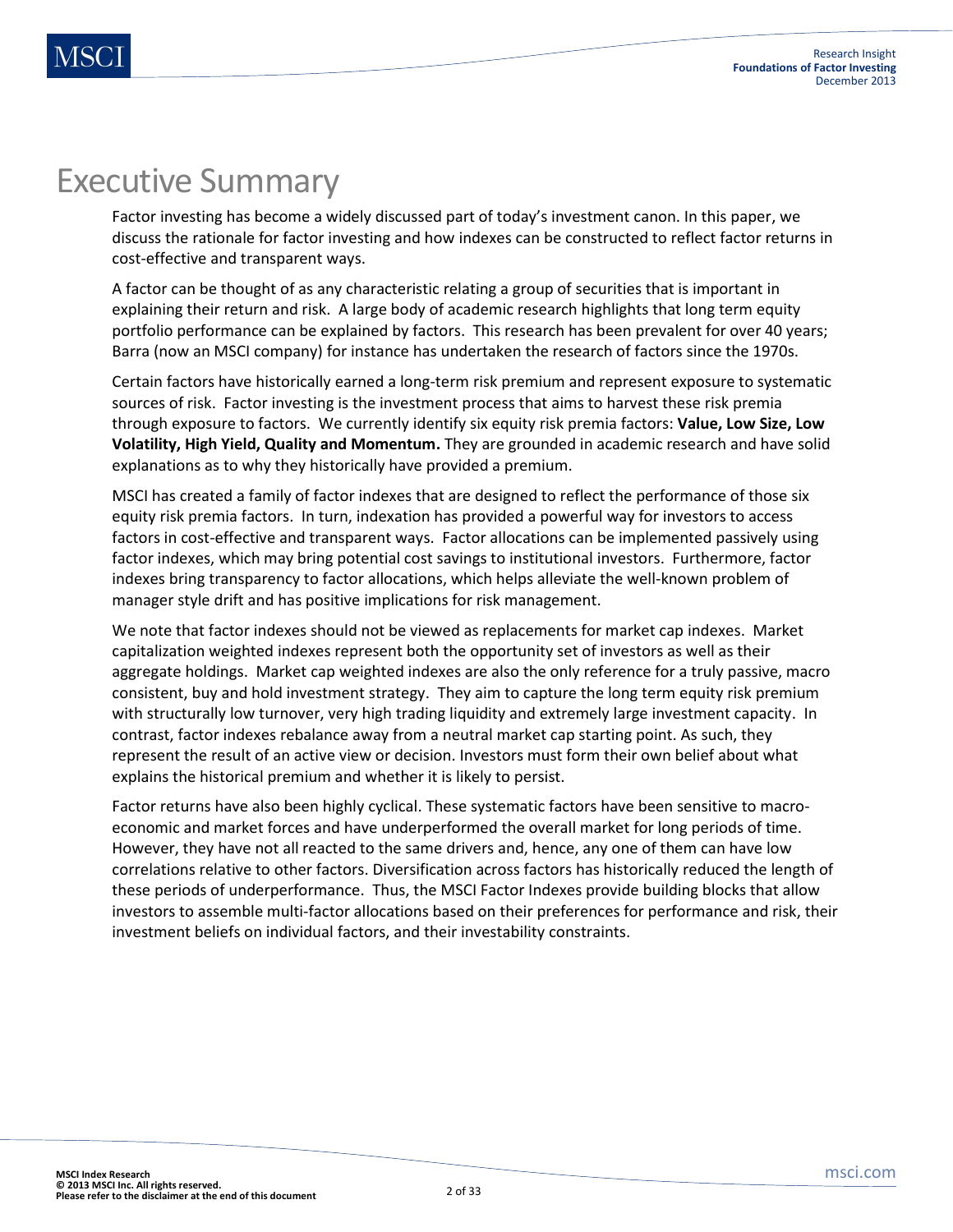## Executive Summary

Factor investing has become a widely discussed part of today's investment canon. In this paper, we discuss the rationale for factor investing and how indexes can be constructed to reflect factor returns in cost-effective and transparent ways.

A factor can be thought of as any characteristic relating a group of securities that is important in explaining their return and risk. A large body of academic research highlights that long term equity portfolio performance can be explained by factors. This research has been prevalent for over 40 years; Barra (now an MSCI company) for instance has undertaken the research of factors since the 1970s.

Certain factors have historically earned a long-term risk premium and represent exposure to systematic sources of risk. Factor investing is the investment process that aims to harvest these risk premia through exposure to factors. We currently identify six equity risk premia factors: **Value, Low Size, Low Volatility, High Yield, Quality and Momentum.** They are grounded in academic research and have solid explanations as to why they historically have provided a premium.

MSCI has created a family of factor indexes that are designed to reflect the performance of those six equity risk premia factors. In turn, indexation has provided a powerful way for investors to access factors in cost-effective and transparent ways. Factor allocations can be implemented passively using factor indexes, which may bring potential cost savings to institutional investors. Furthermore, factor indexes bring transparency to factor allocations, which helps alleviate the well-known problem of manager style drift and has positive implications for risk management.

We note that factor indexes should not be viewed as replacements for market cap indexes. Market capitalization weighted indexes represent both the opportunity set of investors as well as their aggregate holdings. Market cap weighted indexes are also the only reference for a truly passive, macro consistent, buy and hold investment strategy. They aim to capture the long term equity risk premium with structurally low turnover, very high trading liquidity and extremely large investment capacity. In contrast, factor indexes rebalance away from a neutral market cap starting point. As such, they represent the result of an active view or decision. Investors must form their own belief about what explains the historical premium and whether it is likely to persist.

Factor returns have also been highly cyclical. These systematic factors have been sensitive to macroeconomic and market forces and have underperformed the overall market for long periods of time. However, they have not all reacted to the same drivers and, hence, any one of them can have low correlations relative to other factors. Diversification across factors has historically reduced the length of these periods of underperformance. Thus, the MSCI Factor Indexes provide building blocks that allow investors to assemble multi-factor allocations based on their preferences for performance and risk, their investment beliefs on individual factors, and their investability constraints.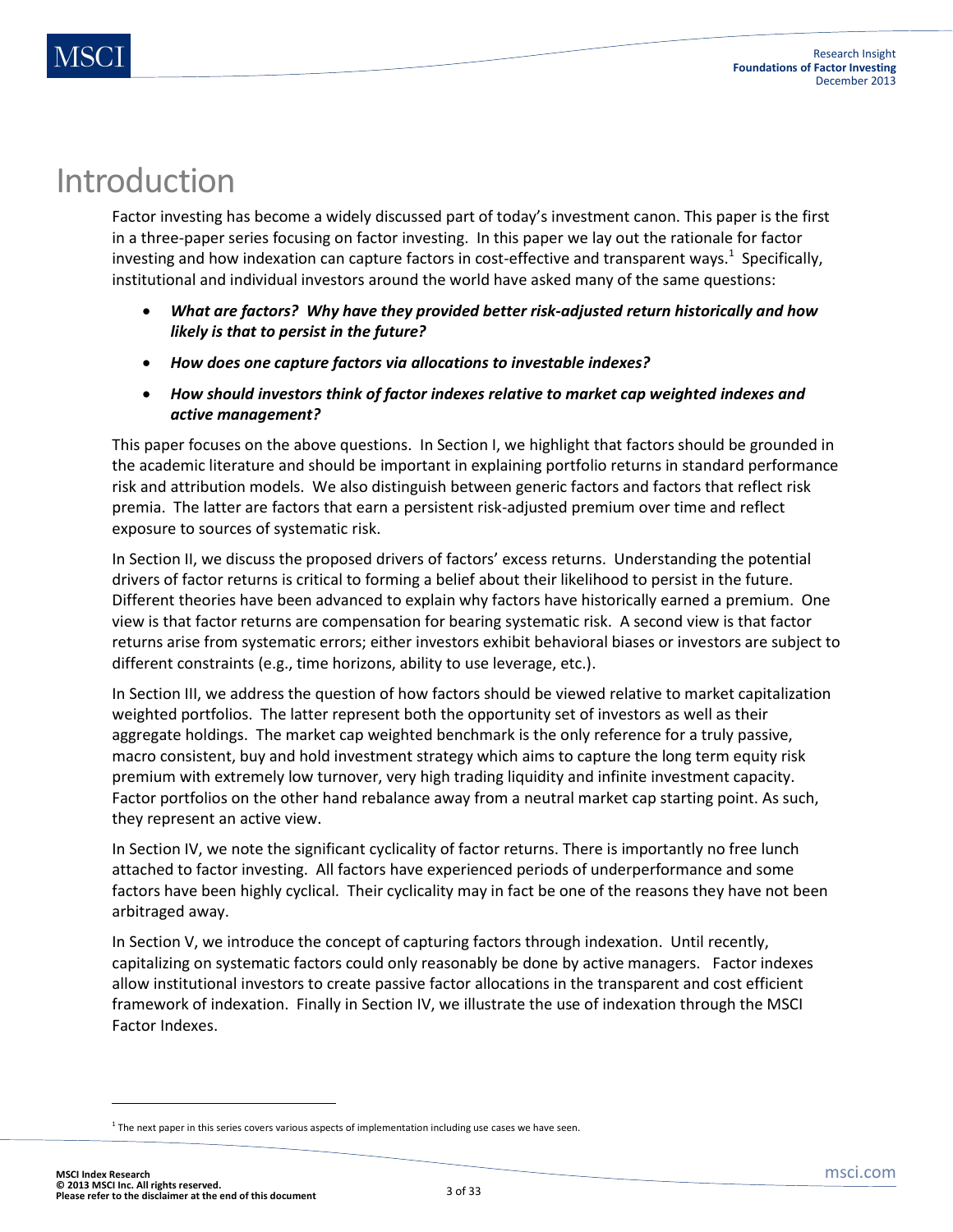## Introduction

Factor investing has become a widely discussed part of today's investment canon. This paper is the first in a three-paper series focusing on factor investing. In this paper we lay out the rationale for factor investing and how indexation can capture factors in cost-effective and transparent ways.<sup>1</sup> Specifically, institutional and individual investors around the world have asked many of the same questions:

- *What are factors? Why have they provided better risk-adjusted return historically and how likely is that to persist in the future?*
- *How does one capture factors via allocations to investable indexes?*
- *How should investors think of factor indexes relative to market cap weighted indexes and active management?*

This paper focuses on the above questions. In Section I, we highlight that factors should be grounded in the academic literature and should be important in explaining portfolio returns in standard performance risk and attribution models. We also distinguish between generic factors and factors that reflect risk premia. The latter are factors that earn a persistent risk-adjusted premium over time and reflect exposure to sources of systematic risk.

In Section II, we discuss the proposed drivers of factors' excess returns. Understanding the potential drivers of factor returns is critical to forming a belief about their likelihood to persist in the future. Different theories have been advanced to explain why factors have historically earned a premium. One view is that factor returns are compensation for bearing systematic risk. A second view is that factor returns arise from systematic errors; either investors exhibit behavioral biases or investors are subject to different constraints (e.g., time horizons, ability to use leverage, etc.).

In Section III, we address the question of how factors should be viewed relative to market capitalization weighted portfolios. The latter represent both the opportunity set of investors as well as their aggregate holdings. The market cap weighted benchmark is the only reference for a truly passive, macro consistent, buy and hold investment strategy which aims to capture the long term equity risk premium with extremely low turnover, very high trading liquidity and infinite investment capacity. Factor portfolios on the other hand rebalance away from a neutral market cap starting point. As such, they represent an active view.

In Section IV, we note the significant cyclicality of factor returns. There is importantly no free lunch attached to factor investing. All factors have experienced periods of underperformance and some factors have been highly cyclical. Their cyclicality may in fact be one of the reasons they have not been arbitraged away.

In Section V, we introduce the concept of capturing factors through indexation. Until recently, capitalizing on systematic factors could only reasonably be done by active managers. Factor indexes allow institutional investors to create passive factor allocations in the transparent and cost efficient framework of indexation. Finally in Section IV, we illustrate the use of indexation through the MSCI Factor Indexes.

 $1$  The next paper in this series covers various aspects of implementation including use cases we have seen.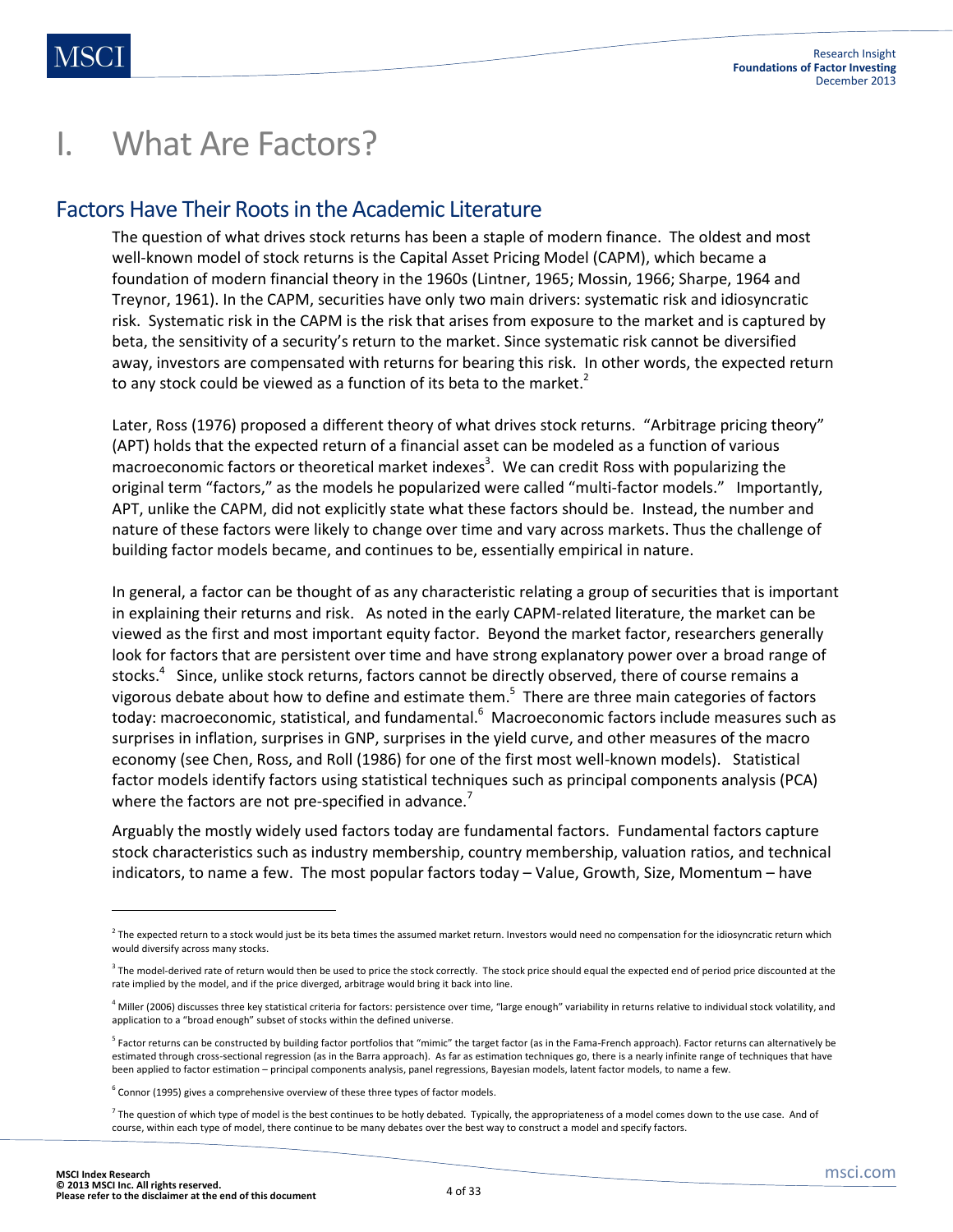## I. What Are Factors?

#### Factors Have Their Roots in the Academic Literature

The question of what drives stock returns has been a staple of modern finance. The oldest and most well-known model of stock returns is the Capital Asset Pricing Model (CAPM), which became a foundation of modern financial theory in the 1960s (Lintner, 1965; Mossin, 1966; Sharpe, 1964 and Treynor, 1961). In the CAPM, securities have only two main drivers: systematic risk and idiosyncratic risk. Systematic risk in the CAPM is the risk that arises from exposure to the market and is captured by beta, the sensitivity of a security's return to the market. Since systematic risk cannot be diversified away, investors are compensated with returns for bearing this risk. In other words, the expected return to any stock could be viewed as a function of its beta to the market.<sup>2</sup>

Later, Ross (1976) proposed a different theory of what drives stock returns. "Arbitrage pricing theory" (APT) holds that the expected return of a financial asset can be modeled as a function of various macroeconomic factors or theoretical market indexes<sup>3</sup>. We can credit Ross with popularizing the original term "factors," as the models he popularized were called "multi-factor models." Importantly, APT, unlike the CAPM, did not explicitly state what these factors should be. Instead, the number and nature of these factors were likely to change over time and vary across markets. Thus the challenge of building factor models became, and continues to be, essentially empirical in nature.

In general, a factor can be thought of as any characteristic relating a group of securities that is important in explaining their returns and risk. As noted in the early CAPM-related literature, the market can be viewed as the first and most important equity factor. Beyond the market factor, researchers generally look for factors that are persistent over time and have strong explanatory power over a broad range of stocks.<sup>4</sup> Since, unlike stock returns, factors cannot be directly observed, there of course remains a vigorous debate about how to define and estimate them.<sup>5</sup> There are three main categories of factors today: macroeconomic, statistical, and fundamental.<sup>6</sup> Macroeconomic factors include measures such as surprises in inflation, surprises in GNP, surprises in the yield curve, and other measures of the macro economy (see Chen, Ross, and Roll (1986) for one of the first most well-known models). Statistical factor models identify factors using statistical techniques such as principal components analysis (PCA) where the factors are not pre-specified in advance.<sup>7</sup>

Arguably the mostly widely used factors today are fundamental factors. Fundamental factors capture stock characteristics such as industry membership, country membership, valuation ratios, and technical indicators, to name a few. The most popular factors today – Value, Growth, Size, Momentum – have

 $\overline{\phantom{a}}$ 

 $^2$  The expected return to a stock would just be its beta times the assumed market return. Investors would need no compensation for the idiosyncratic return which would diversify across many stocks.

 $^3$  The model-derived rate of return would then be used to price the stock correctly. The stock price should equal the expected end of period price discounted at the rate implied by the model, and if the price diverged, arbitrage would bring it back into line.

<sup>&</sup>lt;sup>4</sup> Miller (2006) discusses three key statistical criteria for factors: persistence over time, "large enough" variability in returns relative to individual stock volatility, and application to a "broad enough" subset of stocks within the defined universe.

<sup>&</sup>lt;sup>5</sup> Factor returns can be constructed by building factor portfolios that "mimic" the target factor (as in the Fama-French approach). Factor returns can alternatively be estimated through cross-sectional regression (as in the Barra approach). As far as estimation techniques go, there is a nearly infinite range of techniques that have been applied to factor estimation – principal components analysis, panel regressions, Bayesian models, latent factor models, to name a few.

 $^6$  Connor (1995) gives a comprehensive overview of these three types of factor models.

 $^7$  The question of which type of model is the best continues to be hotly debated. Typically, the appropriateness of a model comes down to the use case. And of course, within each type of model, there continue to be many debates over the best way to construct a model and specify factors.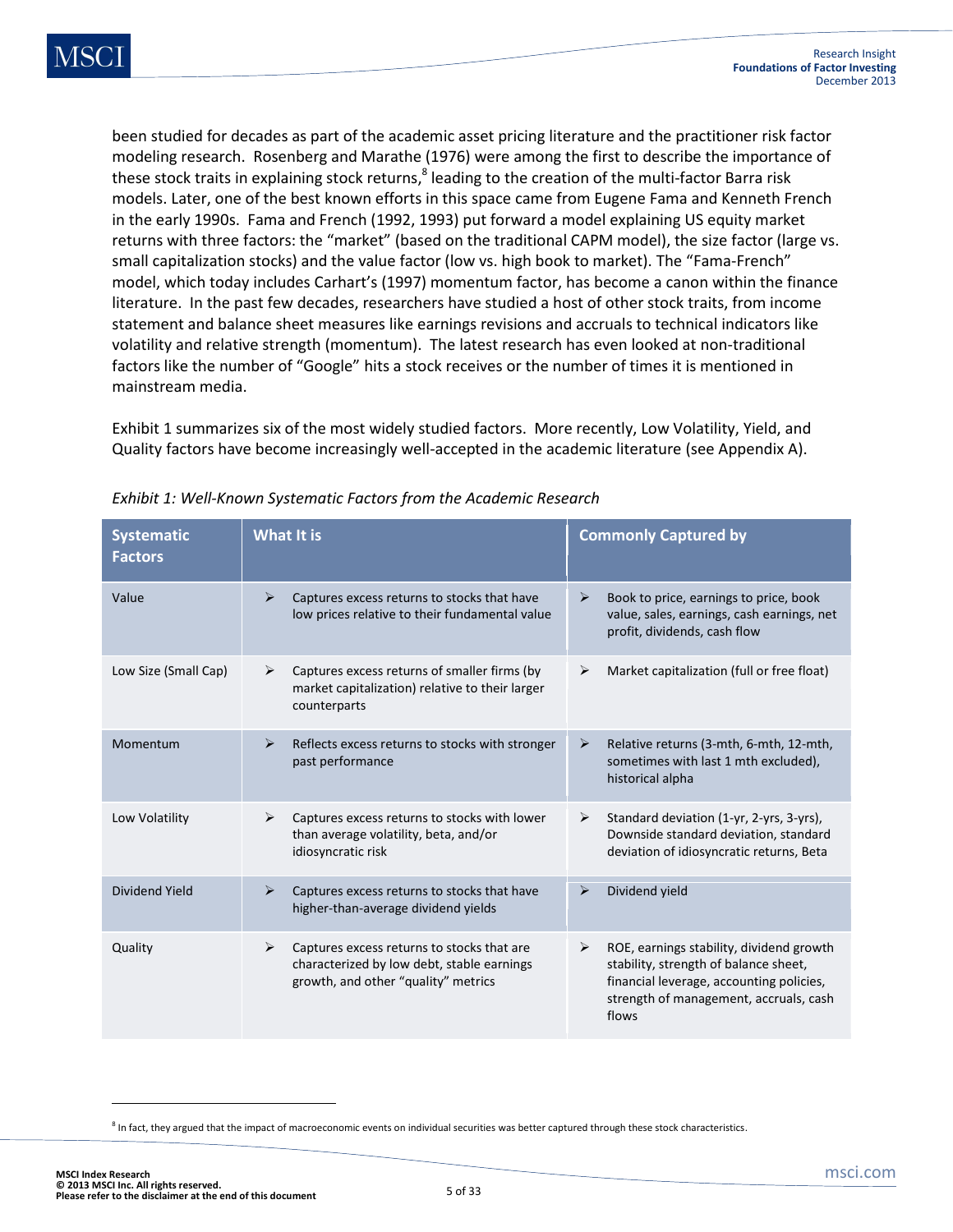been studied for decades as part of the academic asset pricing literature and the practitioner risk factor modeling research. Rosenberg and Marathe (1976) were among the first to describe the importance of these stock traits in explaining stock returns,<sup>8</sup> leading to the creation of the multi-factor Barra risk models. Later, one of the best known efforts in this space came from Eugene Fama and Kenneth French in the early 1990s. Fama and French (1992, 1993) put forward a model explaining US equity market returns with three factors: the "market" (based on the traditional CAPM model), the size factor (large vs. small capitalization stocks) and the value factor (low vs. high book to market). The "Fama-French" model, which today includes Carhart's (1997) momentum factor, has become a canon within the finance literature. In the past few decades, researchers have studied a host of other stock traits, from income statement and balance sheet measures like earnings revisions and accruals to technical indicators like volatility and relative strength (momentum). The latest research has even looked at non-traditional factors like the number of "Google" hits a stock receives or the number of times it is mentioned in mainstream media.

Exhibit 1 summarizes six of the most widely studied factors. More recently, Low Volatility, Yield, and Quality factors have become increasingly well-accepted in the academic literature (see Appendix A).

| <b>Systematic</b><br><b>Factors</b> | <b>What It is</b>                                                                                                                                        | <b>Commonly Captured by</b>                                                                                                                                                           |
|-------------------------------------|----------------------------------------------------------------------------------------------------------------------------------------------------------|---------------------------------------------------------------------------------------------------------------------------------------------------------------------------------------|
| Value                               | $\blacktriangleright$<br>Captures excess returns to stocks that have<br>low prices relative to their fundamental value                                   | Book to price, earnings to price, book<br>➤<br>value, sales, earnings, cash earnings, net<br>profit, dividends, cash flow                                                             |
| Low Size (Small Cap)                | Captures excess returns of smaller firms (by<br>➤<br>market capitalization) relative to their larger<br>counterparts                                     | Market capitalization (full or free float)<br>➤                                                                                                                                       |
| Momentum                            | Reflects excess returns to stocks with stronger<br>$\triangleright$<br>past performance                                                                  | Relative returns (3-mth, 6-mth, 12-mth,<br>➤<br>sometimes with last 1 mth excluded),<br>historical alpha                                                                              |
| Low Volatility                      | Captures excess returns to stocks with lower<br>➤<br>than average volatility, beta, and/or<br>idiosyncratic risk                                         | Standard deviation (1-yr, 2-yrs, 3-yrs),<br>➤<br>Downside standard deviation, standard<br>deviation of idiosyncratic returns, Beta                                                    |
| Dividend Yield                      | Captures excess returns to stocks that have<br>$\blacktriangleright$<br>higher-than-average dividend yields                                              | Dividend yield<br>➤                                                                                                                                                                   |
| Quality                             | Captures excess returns to stocks that are<br>$\blacktriangleright$<br>characterized by low debt, stable earnings<br>growth, and other "quality" metrics | ➤<br>ROE, earnings stability, dividend growth<br>stability, strength of balance sheet,<br>financial leverage, accounting policies,<br>strength of management, accruals, cash<br>flows |

<sup>&</sup>lt;sup>8</sup> In fact, they argued that the impact of macroeconomic events on individual securities was better captured through these stock characteristics.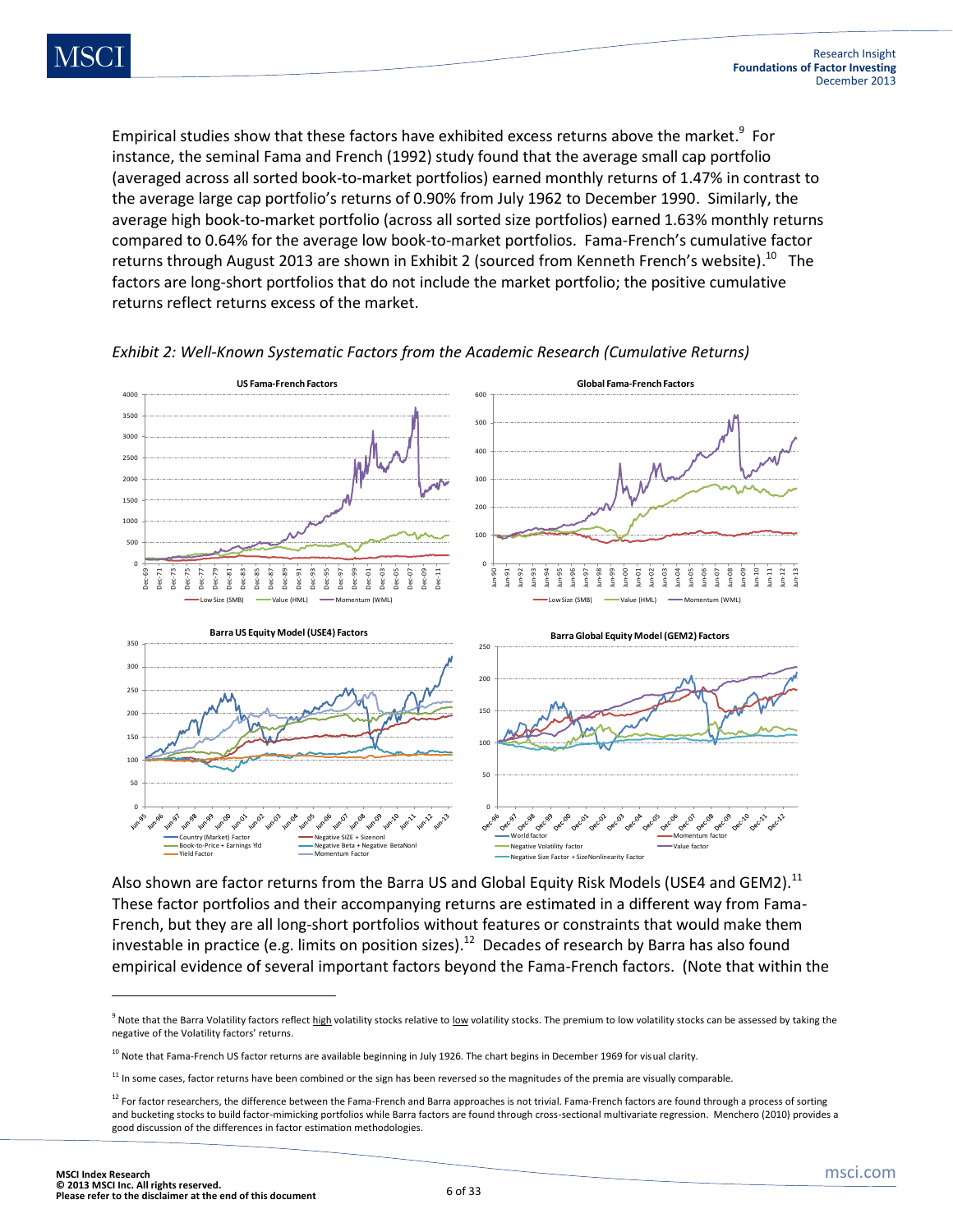Empirical studies show that these factors have exhibited excess returns above the market.<sup>9</sup> For instance, the seminal Fama and French (1992) study found that the average small cap portfolio (averaged across all sorted book-to-market portfolios) earned monthly returns of 1.47% in contrast to the average large cap portfolio's returns of 0.90% from July 1962 to December 1990. Similarly, the average high book-to-market portfolio (across all sorted size portfolios) earned 1.63% monthly returns compared to 0.64% for the average low book-to-market portfolios. Fama-French's cumulative factor returns through August 2013 are shown in Exhibit 2 (sourced from Kenneth French's website).<sup>10</sup> The factors are long-short portfolios that do not include the market portfolio; the positive cumulative returns reflect returns excess of the market.



*Exhibit 2: Well-Known Systematic Factors from the Academic Research (Cumulative Returns)*

Also shown are factor returns from the Barra US and Global Equity Risk Models (USE4 and GEM2).<sup>11</sup> These factor portfolios and their accompanying returns are estimated in a different way from Fama-French, but they are all long-short portfolios without features or constraints that would make them investable in practice (e.g. limits on position sizes).<sup>12</sup> Decades of research by Barra has also found empirical evidence of several important factors beyond the Fama-French factors. (Note that within the

 $\overline{\phantom{a}}$ 

<sup>&</sup>lt;sup>9</sup> Note that the Barra Volatility factors reflect <u>high</u> volatility stocks relative to <u>low</u> volatility stocks. The premium to low volatility stocks can be assessed by taking the negative of the Volatility factors' returns.

 $10$  Note that Fama-French US factor returns are available beginning in July 1926. The chart begins in December 1969 for visual clarity.

 $11$  In some cases, factor returns have been combined or the sign has been reversed so the magnitudes of the premia are visually comparable.

 $12$  For factor researchers, the difference between the Fama-French and Barra approaches is not trivial. Fama-French factors are found through a process of sorting and bucketing stocks to build factor-mimicking portfolios while Barra factors are found through cross-sectional multivariate regression. Menchero (2010) provides a good discussion of the differences in factor estimation methodologies.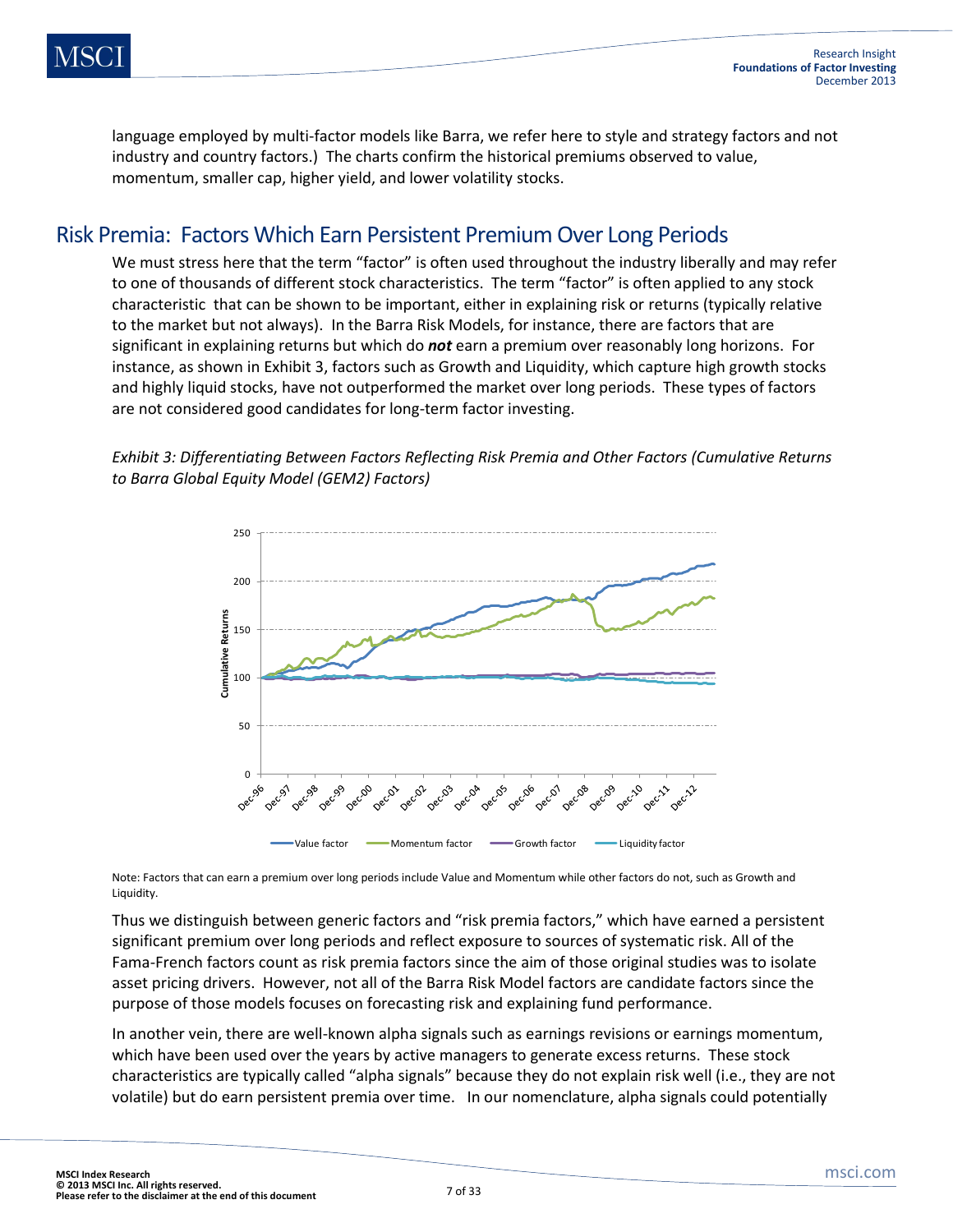language employed by multi-factor models like Barra, we refer here to style and strategy factors and not industry and country factors.) The charts confirm the historical premiums observed to value, momentum, smaller cap, higher yield, and lower volatility stocks.

#### Risk Premia: Factors Which Earn Persistent Premium Over Long Periods

We must stress here that the term "factor" is often used throughout the industry liberally and may refer to one of thousands of different stock characteristics. The term "factor" is often applied to any stock characteristic that can be shown to be important, either in explaining risk or returns (typically relative to the market but not always). In the Barra Risk Models, for instance, there are factors that are significant in explaining returns but which do *not* earn a premium over reasonably long horizons. For instance, as shown in Exhibit 3, factors such as Growth and Liquidity, which capture high growth stocks and highly liquid stocks, have not outperformed the market over long periods. These types of factors are not considered good candidates for long-term factor investing.

*Exhibit 3: Differentiating Between Factors Reflecting Risk Premia and Other Factors (Cumulative Returns to Barra Global Equity Model (GEM2) Factors)*

![](_page_6_Figure_6.jpeg)

Note: Factors that can earn a premium over long periods include Value and Momentum while other factors do not, such as Growth and Liquidity.

Thus we distinguish between generic factors and "risk premia factors," which have earned a persistent significant premium over long periods and reflect exposure to sources of systematic risk. All of the Fama-French factors count as risk premia factors since the aim of those original studies was to isolate asset pricing drivers. However, not all of the Barra Risk Model factors are candidate factors since the purpose of those models focuses on forecasting risk and explaining fund performance.

In another vein, there are well-known alpha signals such as earnings revisions or earnings momentum, which have been used over the years by active managers to generate excess returns. These stock characteristics are typically called "alpha signals" because they do not explain risk well (i.e., they are not volatile) but do earn persistent premia over time. In our nomenclature, alpha signals could potentially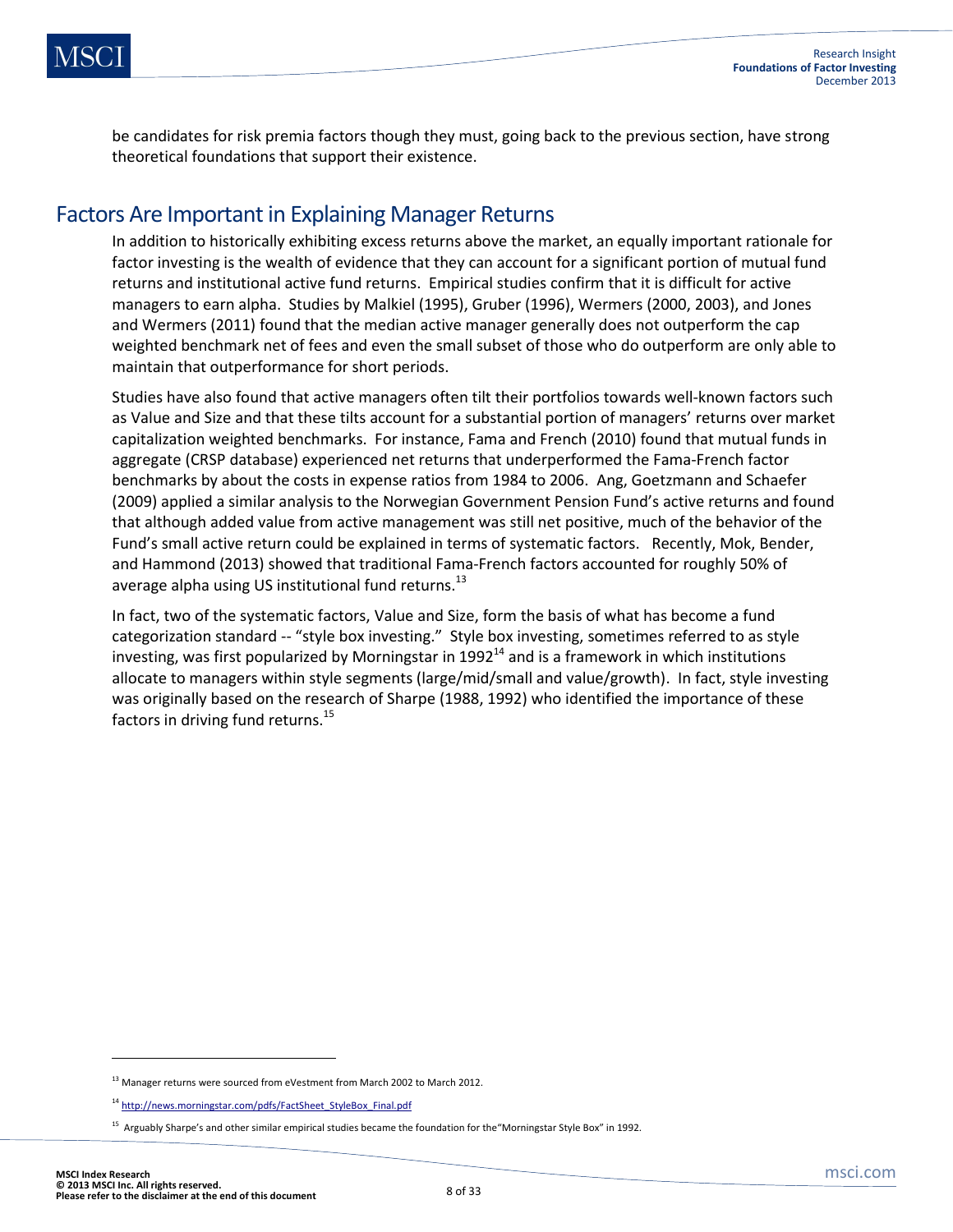be candidates for risk premia factors though they must, going back to the previous section, have strong theoretical foundations that support their existence.

### Factors Are Important in Explaining Manager Returns

In addition to historically exhibiting excess returns above the market, an equally important rationale for factor investing is the wealth of evidence that they can account for a significant portion of mutual fund returns and institutional active fund returns. Empirical studies confirm that it is difficult for active managers to earn alpha. Studies by Malkiel (1995), Gruber (1996), Wermers (2000, 2003), and Jones and Wermers (2011) found that the median active manager generally does not outperform the cap weighted benchmark net of fees and even the small subset of those who do outperform are only able to maintain that outperformance for short periods.

Studies have also found that active managers often tilt their portfolios towards well-known factors such as Value and Size and that these tilts account for a substantial portion of managers' returns over market capitalization weighted benchmarks. For instance, Fama and French (2010) found that mutual funds in aggregate (CRSP database) experienced net returns that underperformed the Fama-French factor benchmarks by about the costs in expense ratios from 1984 to 2006. Ang, Goetzmann and Schaefer (2009) applied a similar analysis to the Norwegian Government Pension Fund's active returns and found that although added value from active management was still net positive, much of the behavior of the Fund's small active return could be explained in terms of systematic factors. Recently, Mok, Bender, and Hammond (2013) showed that traditional Fama-French factors accounted for roughly 50% of average alpha using US institutional fund returns.<sup>13</sup>

In fact, two of the systematic factors, Value and Size, form the basis of what has become a fund categorization standard -- "style box investing." Style box investing, sometimes referred to as style investing, was first popularized by Morningstar in  $1992<sup>14</sup>$  and is a framework in which institutions allocate to managers within style segments (large/mid/small and value/growth). In fact, style investing was originally based on the research of Sharpe (1988, 1992) who identified the importance of these factors in driving fund returns.<sup>15</sup>

 $\overline{\phantom{a}}$ 

<sup>&</sup>lt;sup>13</sup> Manager returns were sourced from eVestment from March 2002 to March 2012.

<sup>&</sup>lt;sup>14</sup> [http://news.morningstar.com/pdfs/FactSheet\\_StyleBox\\_Final.pdf](http://news.morningstar.com/pdfs/FactSheet_StyleBox_Final.pdf)

<sup>&</sup>lt;sup>15</sup> Arguably Sharpe's and other similar empirical studies became the foundation for the"Morningstar Style Box" in 1992.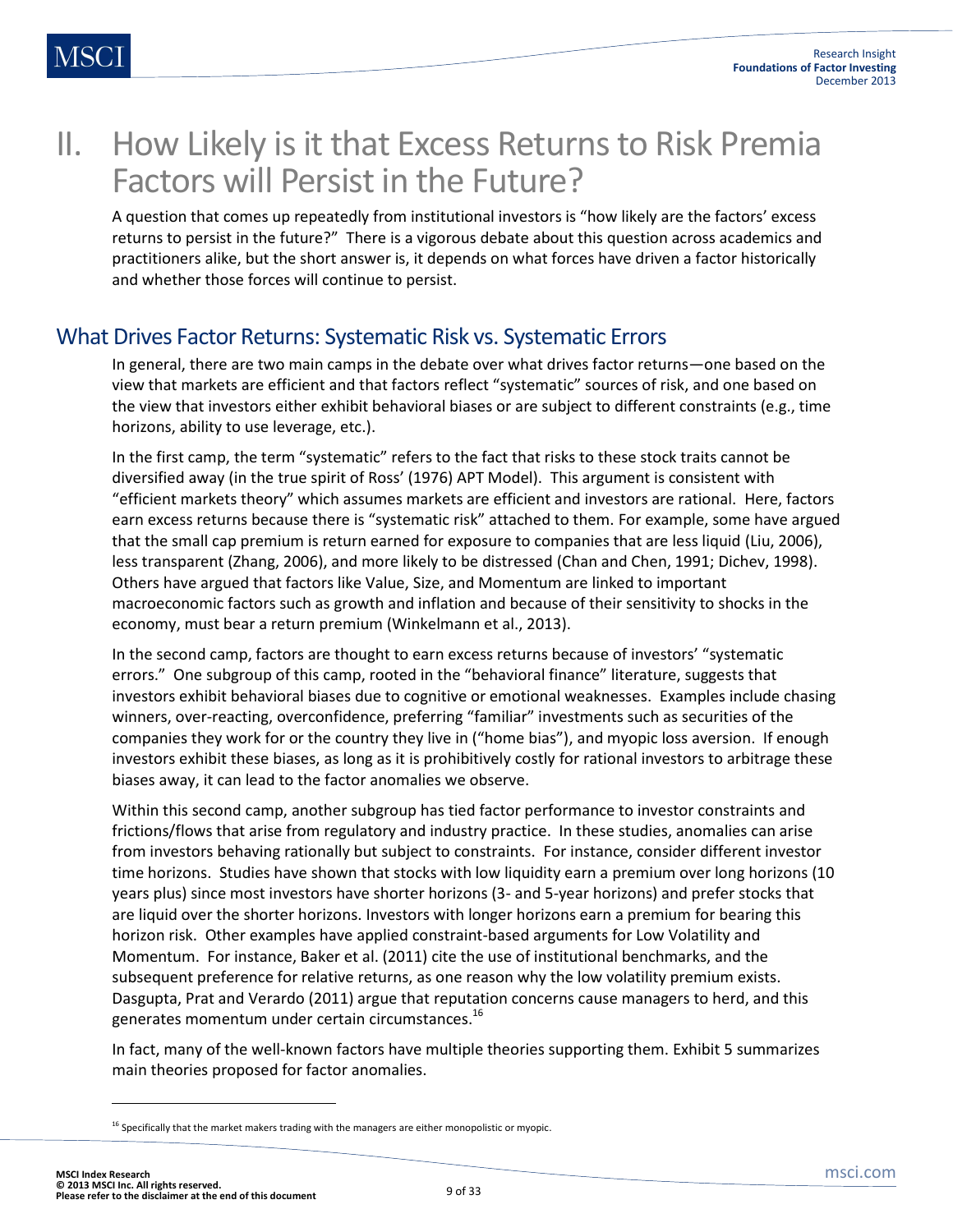## II. How Likely is it that Excess Returns to Risk Premia Factors will Persist in the Future?

A question that comes up repeatedly from institutional investors is "how likely are the factors' excess returns to persist in the future?" There is a vigorous debate about this question across academics and practitioners alike, but the short answer is, it depends on what forces have driven a factor historically and whether those forces will continue to persist.

### What Drives Factor Returns: Systematic Risk vs. Systematic Errors

In general, there are two main camps in the debate over what drives factor returns—one based on the view that markets are efficient and that factors reflect "systematic" sources of risk, and one based on the view that investors either exhibit behavioral biases or are subject to different constraints (e.g., time horizons, ability to use leverage, etc.).

In the first camp, the term "systematic" refers to the fact that risks to these stock traits cannot be diversified away (in the true spirit of Ross' (1976) APT Model). This argument is consistent with "efficient markets theory" which assumes markets are efficient and investors are rational. Here, factors earn excess returns because there is "systematic risk" attached to them. For example, some have argued that the small cap premium is return earned for exposure to companies that are less liquid (Liu, 2006), less transparent (Zhang, 2006), and more likely to be distressed (Chan and Chen, 1991; Dichev, 1998). Others have argued that factors like Value, Size, and Momentum are linked to important macroeconomic factors such as growth and inflation and because of their sensitivity to shocks in the economy, must bear a return premium (Winkelmann et al., 2013).

In the second camp, factors are thought to earn excess returns because of investors' "systematic errors." One subgroup of this camp, rooted in the "behavioral finance" literature, suggests that investors exhibit behavioral biases due to cognitive or emotional weaknesses. Examples include chasing winners, over-reacting, overconfidence, preferring "familiar" investments such as securities of the companies they work for or the country they live in ("home bias"), and myopic loss aversion. If enough investors exhibit these biases, as long as it is prohibitively costly for rational investors to arbitrage these biases away, it can lead to the factor anomalies we observe.

Within this second camp, another subgroup has tied factor performance to investor constraints and frictions/flows that arise from regulatory and industry practice. In these studies, anomalies can arise from investors behaving rationally but subject to constraints. For instance, consider different investor time horizons. Studies have shown that stocks with low liquidity earn a premium over long horizons (10 years plus) since most investors have shorter horizons (3- and 5-year horizons) and prefer stocks that are liquid over the shorter horizons. Investors with longer horizons earn a premium for bearing this horizon risk. Other examples have applied constraint-based arguments for Low Volatility and Momentum. For instance, Baker et al. (2011) cite the use of institutional benchmarks, and the subsequent preference for relative returns, as one reason why the low volatility premium exists. Dasgupta, Prat and Verardo (2011) argue that reputation concerns cause managers to herd, and this generates momentum under certain circumstances.<sup>16</sup>

In fact, many of the well-known factors have multiple theories supporting them. Exhibit 5 summarizes main theories proposed for factor anomalies.

 $<sup>16</sup>$  Specifically that the market makers trading with the managers are either monopolistic or myopic.</sup>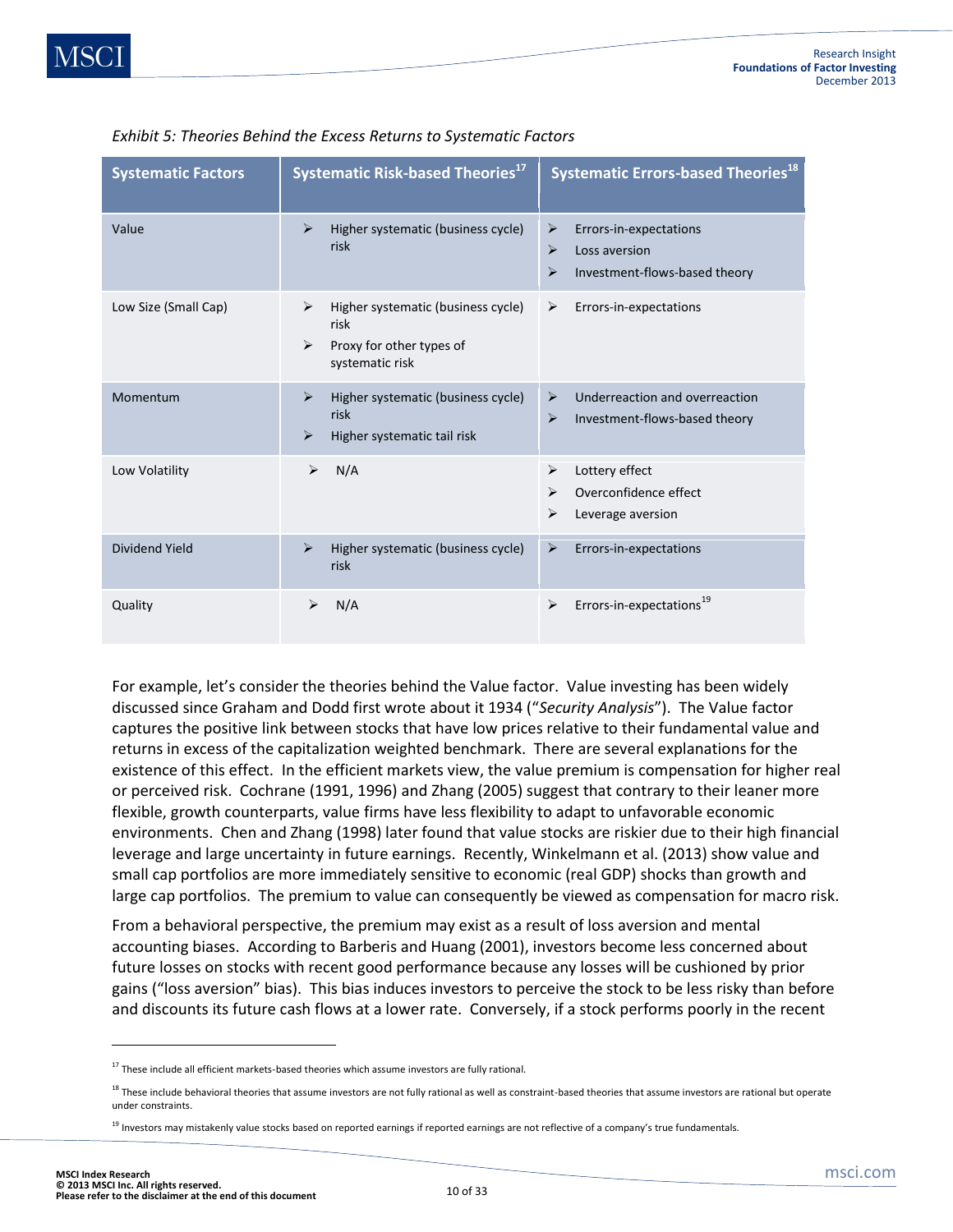| <b>Systematic Factors</b> | <b>Systematic Risk-based Theories<sup>17</sup></b>                                                      | <b>Systematic Errors-based Theories<sup>18</sup></b>                                                              |  |  |
|---------------------------|---------------------------------------------------------------------------------------------------------|-------------------------------------------------------------------------------------------------------------------|--|--|
| Value                     | $\blacktriangleright$<br>Higher systematic (business cycle)<br>risk                                     | ➤<br>Errors-in-expectations<br>$\blacktriangleright$<br>Loss aversion<br>⋗<br>Investment-flows-based theory       |  |  |
| Low Size (Small Cap)      | Higher systematic (business cycle)<br>➤<br>risk<br>Proxy for other types of<br>➤<br>systematic risk     | ≻<br>Errors-in-expectations                                                                                       |  |  |
| Momentum                  | Higher systematic (business cycle)<br>➤<br>risk<br>Higher systematic tail risk<br>$\blacktriangleright$ | Underreaction and overreaction<br>$\blacktriangleright$<br>$\blacktriangleright$<br>Investment-flows-based theory |  |  |
| Low Volatility            | ⋗<br>N/A                                                                                                | Lottery effect<br>➤<br>Overconfidence effect<br>⋗<br>⋗<br>Leverage aversion                                       |  |  |
| Dividend Yield            | Higher systematic (business cycle)<br>⋗<br>risk                                                         | ➤<br>Errors-in-expectations                                                                                       |  |  |
| Quality                   | ⋗<br>N/A                                                                                                | Errors-in-expectations <sup>19</sup><br>$\blacktriangleright$                                                     |  |  |

#### *Exhibit 5: Theories Behind the Excess Returns to Systematic Factors*

For example, let's consider the theories behind the Value factor. Value investing has been widely discussed since Graham and Dodd first wrote about it 1934 ("*Security Analysis*"). The Value factor captures the positive link between stocks that have low prices relative to their fundamental value and returns in excess of the capitalization weighted benchmark. There are several explanations for the existence of this effect. In the efficient markets view, the value premium is compensation for higher real or perceived risk. Cochrane (1991, 1996) and Zhang (2005) suggest that contrary to their leaner more flexible, growth counterparts, value firms have less flexibility to adapt to unfavorable economic environments. Chen and Zhang (1998) later found that value stocks are riskier due to their high financial leverage and large uncertainty in future earnings. Recently, Winkelmann et al. (2013) show value and small cap portfolios are more immediately sensitive to economic (real GDP) shocks than growth and large cap portfolios. The premium to value can consequently be viewed as compensation for macro risk.

From a behavioral perspective, the premium may exist as a result of loss aversion and mental accounting biases. According to Barberis and Huang (2001), investors become less concerned about future losses on stocks with recent good performance because any losses will be cushioned by prior gains ("loss aversion" bias). This bias induces investors to perceive the stock to be less risky than before and discounts its future cash flows at a lower rate. Conversely, if a stock performs poorly in the recent

 $17$  These include all efficient markets-based theories which assume investors are fully rational.

<sup>&</sup>lt;sup>18</sup> These include behavioral theories that assume investors are not fully rational as well as constraint-based theories that assume investors are rational but operate under constraints.

<sup>&</sup>lt;sup>19</sup> Investors may mistakenly value stocks based on reported earnings if reported earnings are not reflective of a company's true fundamentals.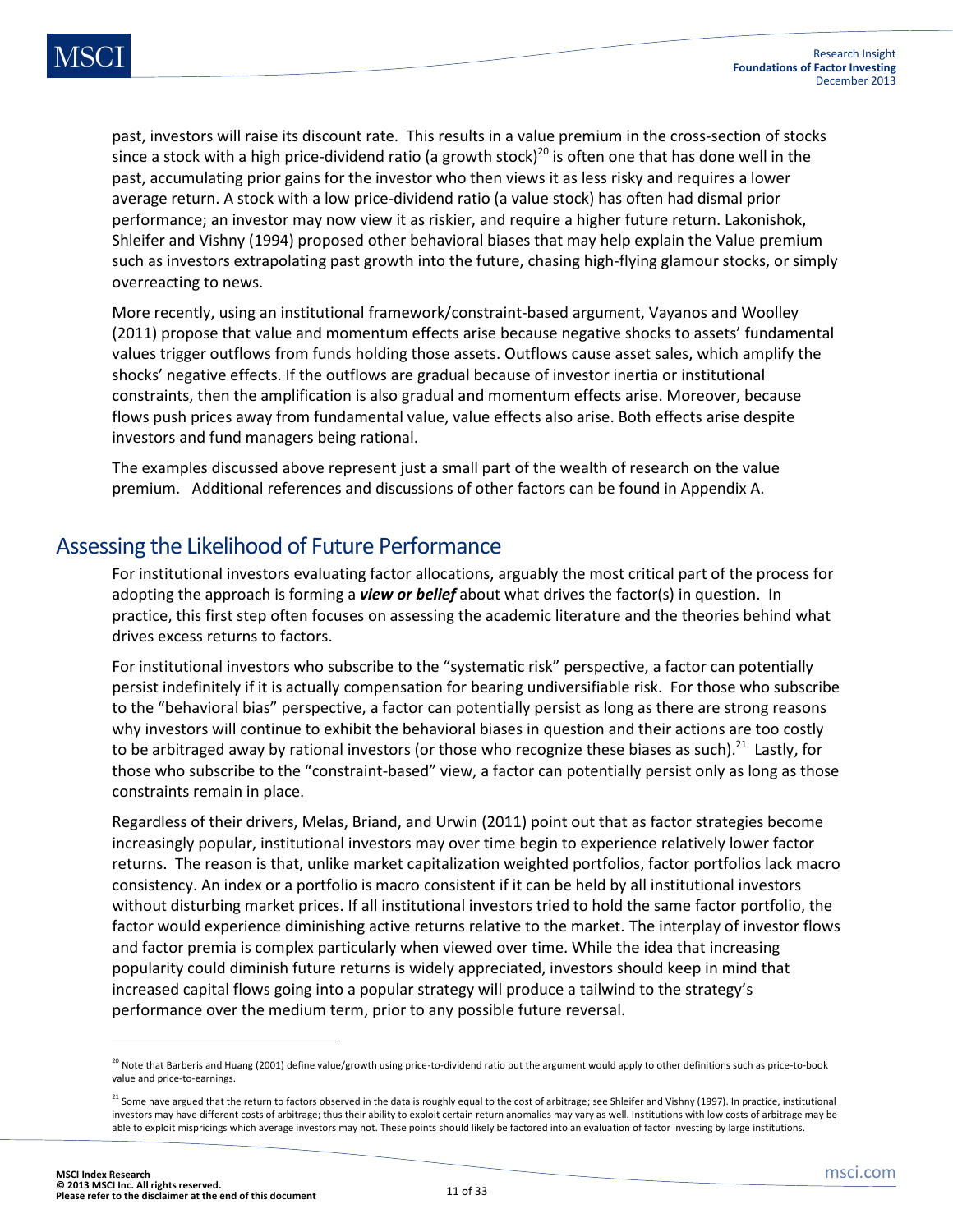past, investors will raise its discount rate. This results in a value premium in the cross-section of stocks since a stock with a high price-dividend ratio (a growth stock)<sup>20</sup> is often one that has done well in the past, accumulating prior gains for the investor who then views it as less risky and requires a lower average return. A stock with a low price-dividend ratio (a value stock) has often had dismal prior performance; an investor may now view it as riskier, and require a higher future return. Lakonishok, Shleifer and Vishny (1994) proposed other behavioral biases that may help explain the Value premium such as investors extrapolating past growth into the future, chasing high-flying glamour stocks, or simply overreacting to news.

More recently, using an institutional framework/constraint-based argument, Vayanos and Woolley (2011) propose that value and momentum effects arise because negative shocks to assets' fundamental values trigger outflows from funds holding those assets. Outflows cause asset sales, which amplify the shocks' negative effects. If the outflows are gradual because of investor inertia or institutional constraints, then the amplification is also gradual and momentum effects arise. Moreover, because flows push prices away from fundamental value, value effects also arise. Both effects arise despite investors and fund managers being rational.

The examples discussed above represent just a small part of the wealth of research on the value premium. Additional references and discussions of other factors can be found in Appendix A.

### Assessing the Likelihood of Future Performance

For institutional investors evaluating factor allocations, arguably the most critical part of the process for adopting the approach is forming a *view or belief* about what drives the factor(s) in question. In practice, this first step often focuses on assessing the academic literature and the theories behind what drives excess returns to factors.

For institutional investors who subscribe to the "systematic risk" perspective, a factor can potentially persist indefinitely if it is actually compensation for bearing undiversifiable risk. For those who subscribe to the "behavioral bias" perspective, a factor can potentially persist as long as there are strong reasons why investors will continue to exhibit the behavioral biases in question and their actions are too costly to be arbitraged away by rational investors (or those who recognize these biases as such).<sup>21</sup> Lastly, for those who subscribe to the "constraint-based" view, a factor can potentially persist only as long as those constraints remain in place.

Regardless of their drivers, Melas, Briand, and Urwin (2011) point out that as factor strategies become increasingly popular, institutional investors may over time begin to experience relatively lower factor returns. The reason is that, unlike market capitalization weighted portfolios, factor portfolios lack macro consistency. An index or a portfolio is macro consistent if it can be held by all institutional investors without disturbing market prices. If all institutional investors tried to hold the same factor portfolio, the factor would experience diminishing active returns relative to the market. The interplay of investor flows and factor premia is complex particularly when viewed over time. While the idea that increasing popularity could diminish future returns is widely appreciated, investors should keep in mind that increased capital flows going into a popular strategy will produce a tailwind to the strategy's performance over the medium term, prior to any possible future reversal.

l

 $^{20}$  Note that Barberis and Huang (2001) define value/growth using price-to-dividend ratio but the argument would apply to other definitions such as price-to-book value and price-to-earnings.

 $^{21}$  Some have argued that the return to factors observed in the data is roughly equal to the cost of arbitrage; see Shleifer and Vishny (1997). In practice, institutional investors may have different costs of arbitrage; thus their ability to exploit certain return anomalies may vary as well. Institutions with low costs of arbitrage may be able to exploit mispricings which average investors may not. These points should likely be factored into an evaluation of factor investing by large institutions.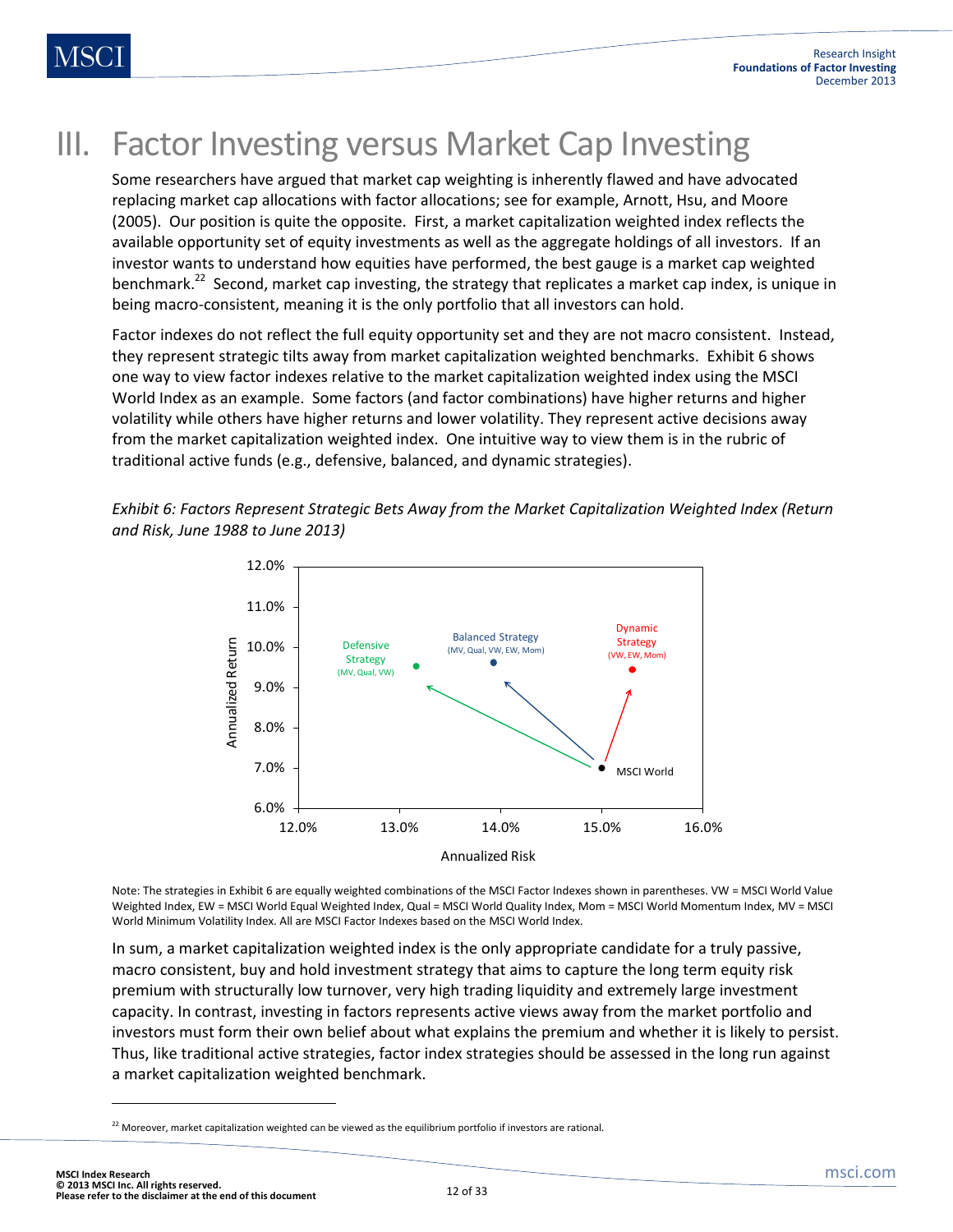## III. Factor Investing versus Market Cap Investing

Some researchers have argued that market cap weighting is inherently flawed and have advocated replacing market cap allocations with factor allocations; see for example, Arnott, Hsu, and Moore (2005). Our position is quite the opposite. First, a market capitalization weighted index reflects the available opportunity set of equity investments as well as the aggregate holdings of all investors. If an investor wants to understand how equities have performed, the best gauge is a market cap weighted benchmark.<sup>22</sup> Second, market cap investing, the strategy that replicates a market cap index, is unique in being macro-consistent, meaning it is the only portfolio that all investors can hold.

Factor indexes do not reflect the full equity opportunity set and they are not macro consistent. Instead, they represent strategic tilts away from market capitalization weighted benchmarks. Exhibit 6 shows one way to view factor indexes relative to the market capitalization weighted index using the MSCI World Index as an example. Some factors (and factor combinations) have higher returns and higher volatility while others have higher returns and lower volatility. They represent active decisions away from the market capitalization weighted index. One intuitive way to view them is in the rubric of traditional active funds (e.g., defensive, balanced, and dynamic strategies).

*Exhibit 6: Factors Represent Strategic Bets Away from the Market Capitalization Weighted Index (Return and Risk, June 1988 to June 2013)*

![](_page_11_Figure_6.jpeg)

Note: The strategies in Exhibit 6 are equally weighted combinations of the MSCI Factor Indexes shown in parentheses. VW = MSCI World Value Weighted Index, EW = MSCI World Equal Weighted Index, Qual = MSCI World Quality Index, Mom = MSCI World Momentum Index, MV = MSCI World Minimum Volatility Index. All are MSCI Factor Indexes based on the MSCI World Index.

In sum, a market capitalization weighted index is the only appropriate candidate for a truly passive, macro consistent, buy and hold investment strategy that aims to capture the long term equity risk premium with structurally low turnover, very high trading liquidity and extremely large investment capacity. In contrast, investing in factors represents active views away from the market portfolio and investors must form their own belief about what explains the premium and whether it is likely to persist. Thus, like traditional active strategies, factor index strategies should be assessed in the long run against a market capitalization weighted benchmark.

 $22$  Moreover, market capitalization weighted can be viewed as the equilibrium portfolio if investors are rational.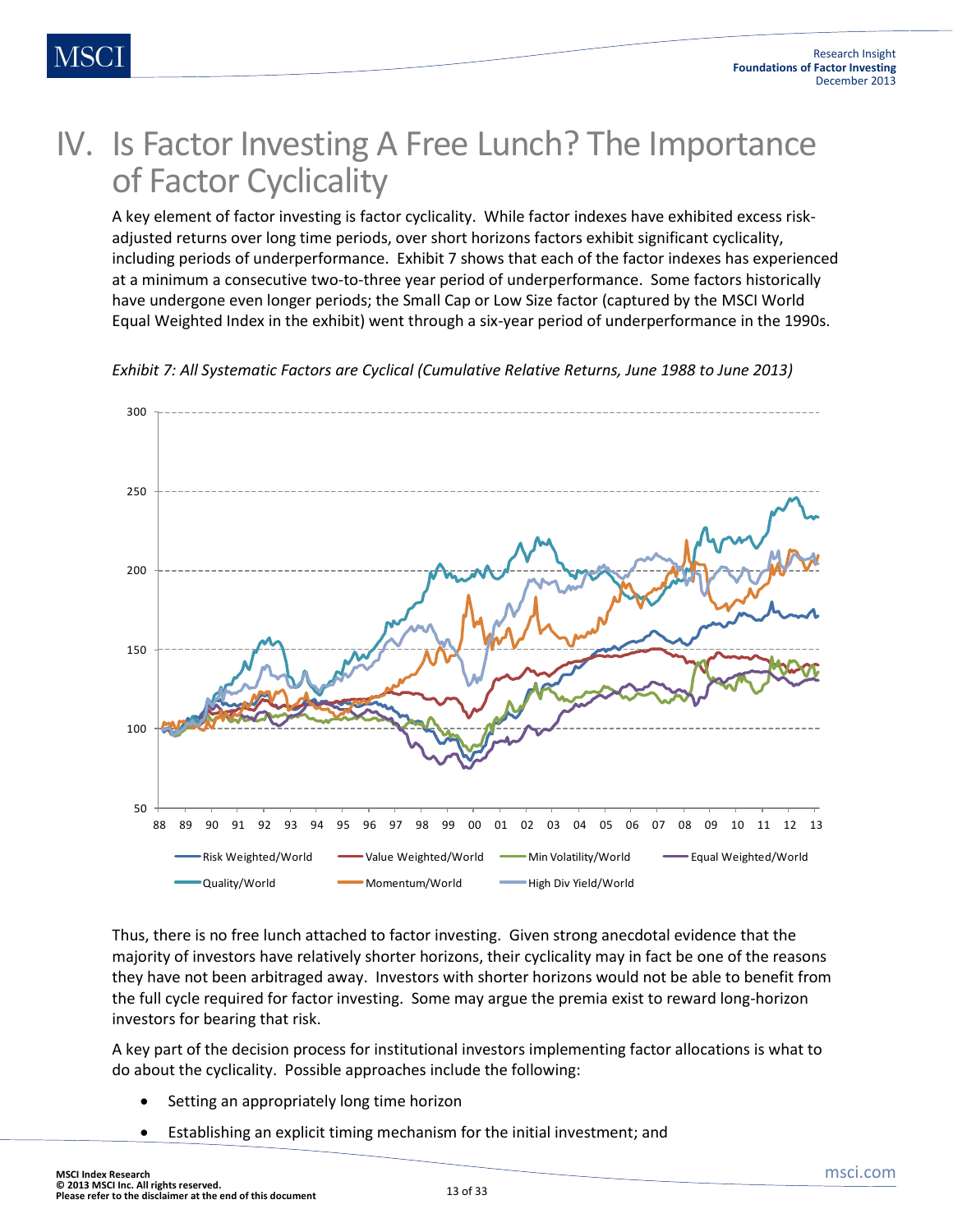## IV. Is Factor Investing A Free Lunch? The Importance of Factor Cyclicality

A key element of factor investing is factor cyclicality. While factor indexes have exhibited excess riskadjusted returns over long time periods, over short horizons factors exhibit significant cyclicality, including periods of underperformance. Exhibit 7 shows that each of the factor indexes has experienced at a minimum a consecutive two-to-three year period of underperformance. Some factors historically have undergone even longer periods; the Small Cap or Low Size factor (captured by the MSCI World Equal Weighted Index in the exhibit) went through a six-year period of underperformance in the 1990s.

![](_page_12_Figure_4.jpeg)

*Exhibit 7: All Systematic Factors are Cyclical (Cumulative Relative Returns, June 1988 to June 2013)*

Thus, there is no free lunch attached to factor investing. Given strong anecdotal evidence that the majority of investors have relatively shorter horizons, their cyclicality may in fact be one of the reasons they have not been arbitraged away. Investors with shorter horizons would not be able to benefit from the full cycle required for factor investing. Some may argue the premia exist to reward long-horizon investors for bearing that risk.

A key part of the decision process for institutional investors implementing factor allocations is what to do about the cyclicality. Possible approaches include the following:

- Setting an appropriately long time horizon
- Establishing an explicit timing mechanism for the initial investment; and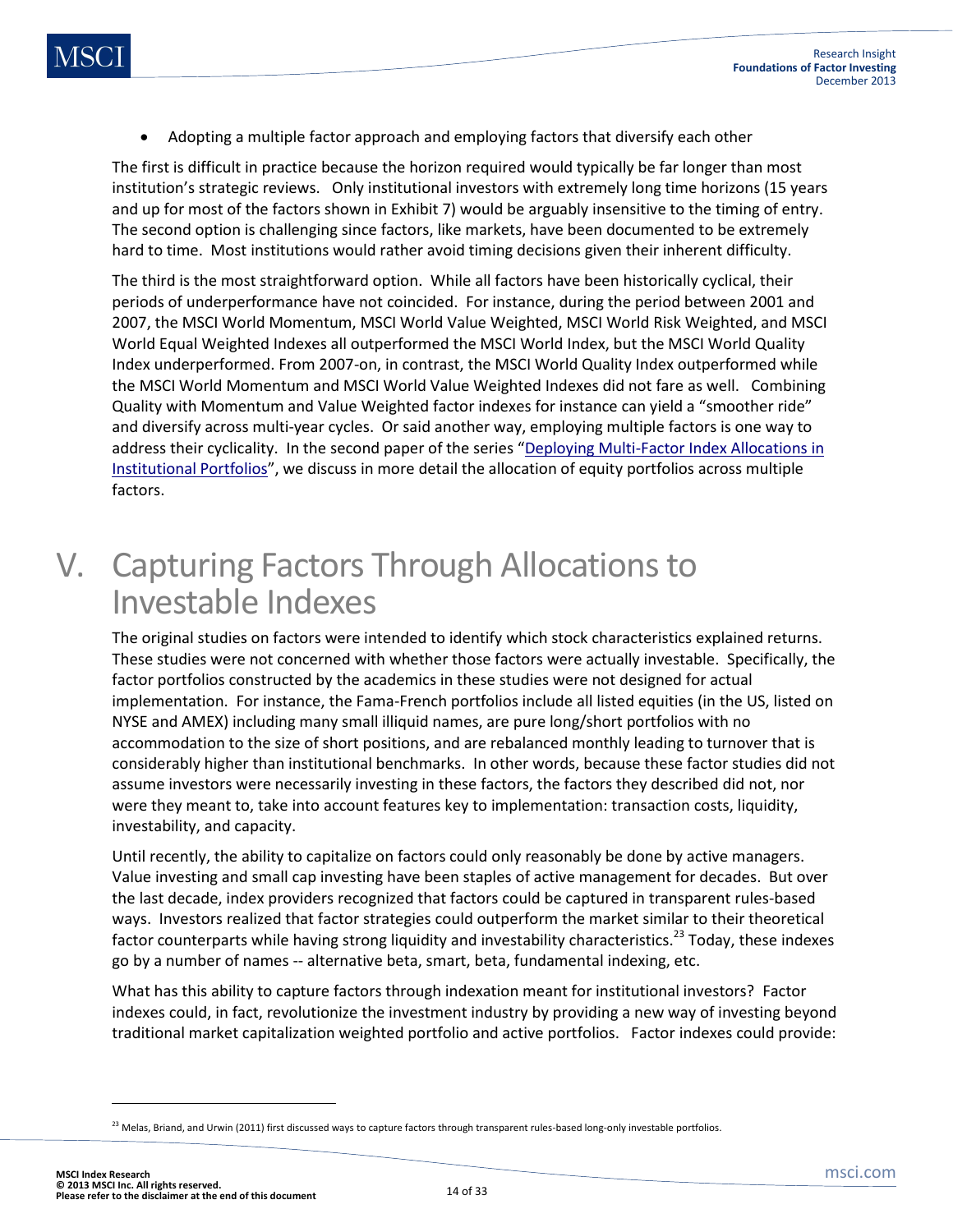Adopting a multiple factor approach and employing factors that diversify each other

The first is difficult in practice because the horizon required would typically be far longer than most institution's strategic reviews. Only institutional investors with extremely long time horizons (15 years and up for most of the factors shown in Exhibit 7) would be arguably insensitive to the timing of entry. The second option is challenging since factors, like markets, have been documented to be extremely hard to time. Most institutions would rather avoid timing decisions given their inherent difficulty.

The third is the most straightforward option. While all factors have been historically cyclical, their periods of underperformance have not coincided. For instance, during the period between 2001 and 2007, the MSCI World Momentum, MSCI World Value Weighted, MSCI World Risk Weighted, and MSCI World Equal Weighted Indexes all outperformed the MSCI World Index, but the MSCI World Quality Index underperformed. From 2007-on, in contrast, the MSCI World Quality Index outperformed while the MSCI World Momentum and MSCI World Value Weighted Indexes did not fare as well. Combining Quality with Momentum and Value Weighted factor indexes for instance can yield a "smoother ride" and diversify across multi-year cycles. Or said another way, employing multiple factors is one way to address their cyclicality. In the second paper of the series "Deploying Multi-Factor Index Allocations in [Institutional Portfolios](http://www.msci.com/resources/pdfs/Deploying_Multi_Factor_Index_Allocations_in_Institutional_Portfolios.pdf)", we discuss in more detail the allocation of equity portfolios across multiple factors.

## V. Capturing Factors Through Allocations to Investable Indexes

The original studies on factors were intended to identify which stock characteristics explained returns. These studies were not concerned with whether those factors were actually investable. Specifically, the factor portfolios constructed by the academics in these studies were not designed for actual implementation. For instance, the Fama-French portfolios include all listed equities (in the US, listed on NYSE and AMEX) including many small illiquid names, are pure long/short portfolios with no accommodation to the size of short positions, and are rebalanced monthly leading to turnover that is considerably higher than institutional benchmarks. In other words, because these factor studies did not assume investors were necessarily investing in these factors, the factors they described did not, nor were they meant to, take into account features key to implementation: transaction costs, liquidity, investability, and capacity.

Until recently, the ability to capitalize on factors could only reasonably be done by active managers. Value investing and small cap investing have been staples of active management for decades. But over the last decade, index providers recognized that factors could be captured in transparent rules-based ways. Investors realized that factor strategies could outperform the market similar to their theoretical factor counterparts while having strong liquidity and investability characteristics.<sup>23</sup> Today, these indexes go by a number of names -- alternative beta, smart, beta, fundamental indexing, etc.

What has this ability to capture factors through indexation meant for institutional investors? Factor indexes could, in fact, revolutionize the investment industry by providing a new way of investing beyond traditional market capitalization weighted portfolio and active portfolios. Factor indexes could provide:

<sup>&</sup>lt;sup>23</sup> Melas, Briand, and Urwin (2011) first discussed ways to capture factors through transparent rules-based long-only investable portfolios.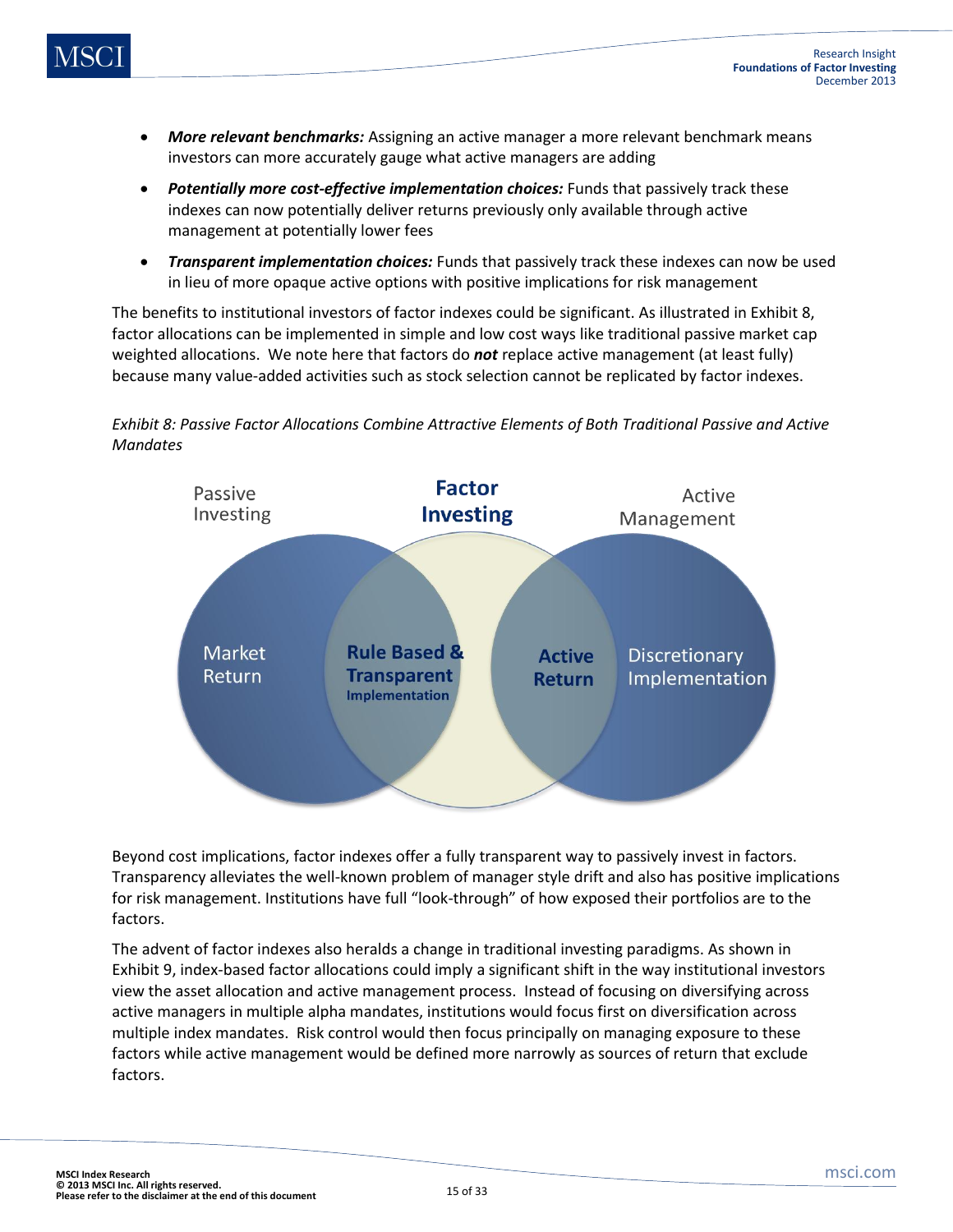- *More relevant benchmarks:* Assigning an active manager a more relevant benchmark means investors can more accurately gauge what active managers are adding
- *Potentially more cost-effective implementation choices:* Funds that passively track these indexes can now potentially deliver returns previously only available through active management at potentially lower fees
- *Transparent implementation choices:* Funds that passively track these indexes can now be used in lieu of more opaque active options with positive implications for risk management

The benefits to institutional investors of factor indexes could be significant. As illustrated in Exhibit 8, factor allocations can be implemented in simple and low cost ways like traditional passive market cap weighted allocations. We note here that factors do *not* replace active management (at least fully) because many value-added activities such as stock selection cannot be replicated by factor indexes.

![](_page_14_Figure_6.jpeg)

![](_page_14_Figure_7.jpeg)

Beyond cost implications, factor indexes offer a fully transparent way to passively invest in factors. Transparency alleviates the well-known problem of manager style drift and also has positive implications for risk management. Institutions have full "look-through" of how exposed their portfolios are to the factors.

The advent of factor indexes also heralds a change in traditional investing paradigms. As shown in Exhibit 9, index-based factor allocations could imply a significant shift in the way institutional investors view the asset allocation and active management process. Instead of focusing on diversifying across active managers in multiple alpha mandates, institutions would focus first on diversification across multiple index mandates. Risk control would then focus principally on managing exposure to these factors while active management would be defined more narrowly as sources of return that exclude factors.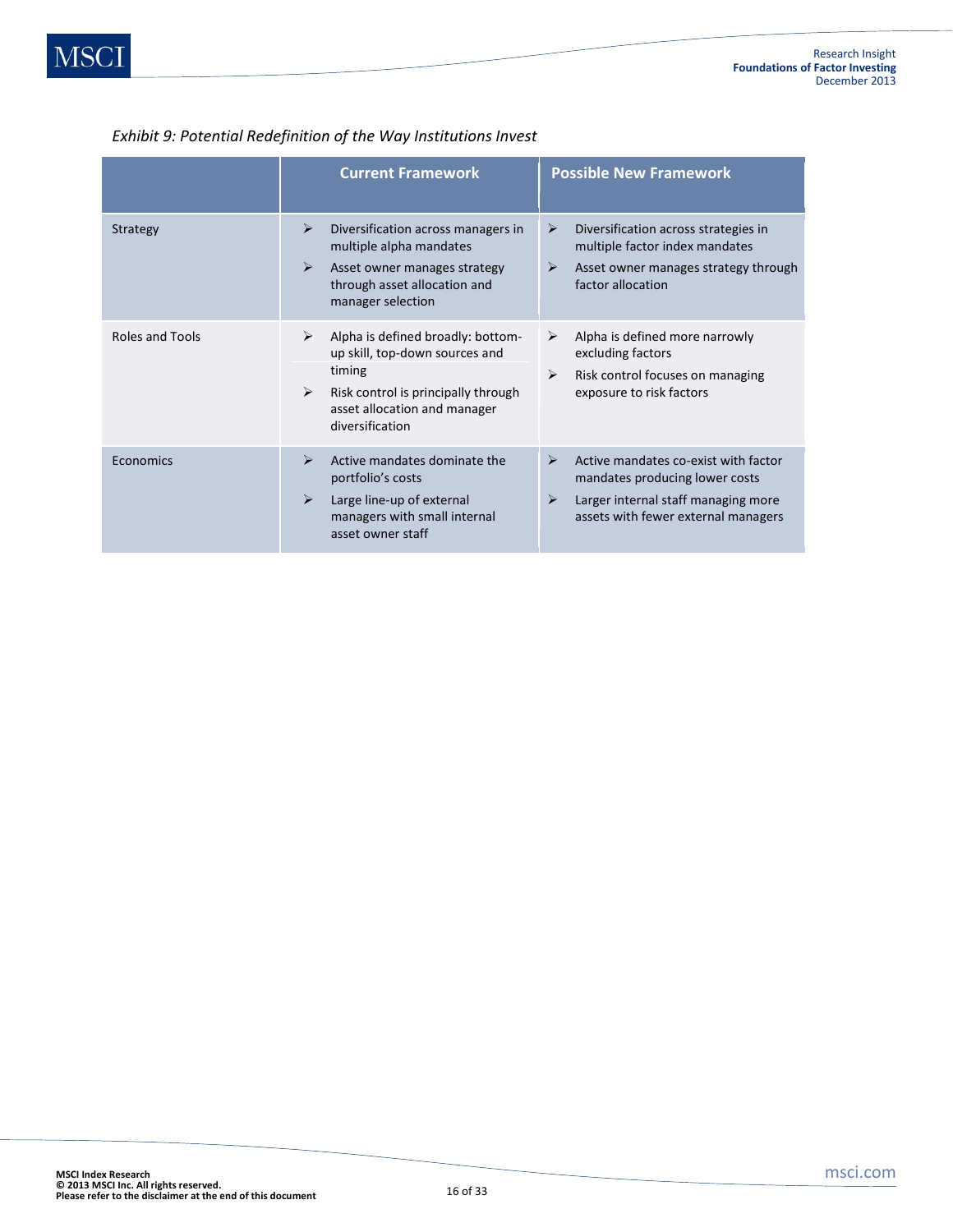|                 | <b>Current Framework</b>                                                                                                                                                                              | <b>Possible New Framework</b>                                                                                                                                  |  |  |
|-----------------|-------------------------------------------------------------------------------------------------------------------------------------------------------------------------------------------------------|----------------------------------------------------------------------------------------------------------------------------------------------------------------|--|--|
| Strategy        | ⋗<br>Diversification across managers in<br>multiple alpha mandates<br>➤<br>Asset owner manages strategy<br>through asset allocation and<br>manager selection                                          | Diversification across strategies in<br>➤<br>multiple factor index mandates<br>➤<br>Asset owner manages strategy through<br>factor allocation                  |  |  |
| Roles and Tools | Alpha is defined broadly: bottom-<br>➤<br>up skill, top-down sources and<br>timing<br>$\blacktriangleright$<br>Risk control is principally through<br>asset allocation and manager<br>diversification | Alpha is defined more narrowly<br>➤<br>excluding factors<br>Risk control focuses on managing<br>➤<br>exposure to risk factors                                  |  |  |
| Economics       | Active mandates dominate the<br>↘<br>portfolio's costs<br>$\blacktriangleright$<br>Large line-up of external<br>managers with small internal<br>asset owner staff                                     | Active mandates co-exist with factor<br>➤<br>mandates producing lower costs<br>Larger internal staff managing more<br>➤<br>assets with fewer external managers |  |  |

#### *Exhibit 9: Potential Redefinition of the Way Institutions Invest*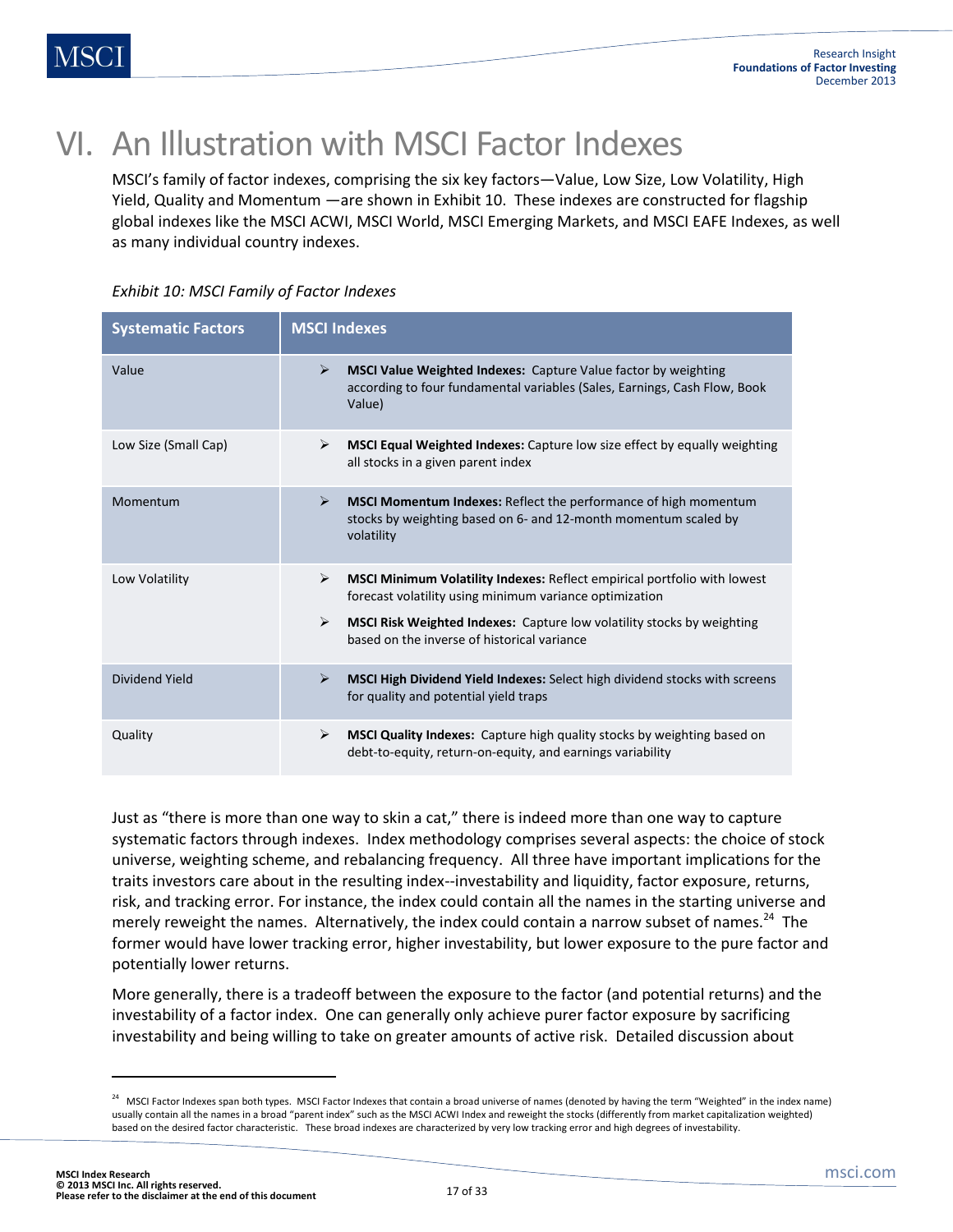## VI. An Illustration with MSCI Factor Indexes

MSCI's family of factor indexes, comprising the six key factors—Value, Low Size, Low Volatility, High Yield, Quality and Momentum —are shown in Exhibit 10. These indexes are constructed for flagship global indexes like the MSCI ACWI, MSCI World, MSCI Emerging Markets, and MSCI EAFE Indexes, as well as many individual country indexes.

| <b>Systematic Factors</b> | <b>MSCI Indexes</b>                                                                                                                                                                                                                                                                                                          |  |  |  |
|---------------------------|------------------------------------------------------------------------------------------------------------------------------------------------------------------------------------------------------------------------------------------------------------------------------------------------------------------------------|--|--|--|
| Value                     | ➤<br><b>MSCI Value Weighted Indexes: Capture Value factor by weighting</b><br>according to four fundamental variables (Sales, Earnings, Cash Flow, Book<br>Value)                                                                                                                                                            |  |  |  |
| Low Size (Small Cap)      | MSCI Equal Weighted Indexes: Capture low size effect by equally weighting<br>➤<br>all stocks in a given parent index                                                                                                                                                                                                         |  |  |  |
| Momentum                  | ➤<br><b>MSCI Momentum Indexes:</b> Reflect the performance of high momentum<br>stocks by weighting based on 6- and 12-month momentum scaled by<br>volatility                                                                                                                                                                 |  |  |  |
| Low Volatility            | $\blacktriangleright$<br><b>MSCI Minimum Volatility Indexes: Reflect empirical portfolio with lowest</b><br>forecast volatility using minimum variance optimization<br>$\blacktriangleright$<br><b>MSCI Risk Weighted Indexes:</b> Capture low volatility stocks by weighting<br>based on the inverse of historical variance |  |  |  |
| Dividend Yield            | MSCI High Dividend Yield Indexes: Select high dividend stocks with screens<br>➤<br>for quality and potential yield traps                                                                                                                                                                                                     |  |  |  |
| Quality                   | ➤<br>MSCI Quality Indexes: Capture high quality stocks by weighting based on<br>debt-to-equity, return-on-equity, and earnings variability                                                                                                                                                                                   |  |  |  |

*Exhibit 10: MSCI Family of Factor Indexes*

Just as "there is more than one way to skin a cat," there is indeed more than one way to capture systematic factors through indexes. Index methodology comprises several aspects: the choice of stock universe, weighting scheme, and rebalancing frequency. All three have important implications for the traits investors care about in the resulting index--investability and liquidity, factor exposure, returns, risk, and tracking error. For instance, the index could contain all the names in the starting universe and merely reweight the names. Alternatively, the index could contain a narrow subset of names.<sup>24</sup> The former would have lower tracking error, higher investability, but lower exposure to the pure factor and potentially lower returns.

More generally, there is a tradeoff between the exposure to the factor (and potential returns) and the investability of a factor index. One can generally only achieve purer factor exposure by sacrificing investability and being willing to take on greater amounts of active risk. Detailed discussion about

 $\overline{\phantom{a}}$ 

 $^{24}$  MSCI Factor Indexes span both types. MSCI Factor Indexes that contain a broad universe of names (denoted by having the term "Weighted" in the index name) usually contain all the names in a broad "parent index" such as the MSCI ACWI Index and reweight the stocks (differently from market capitalization weighted) based on the desired factor characteristic. These broad indexes are characterized by very low tracking error and high degrees of investability.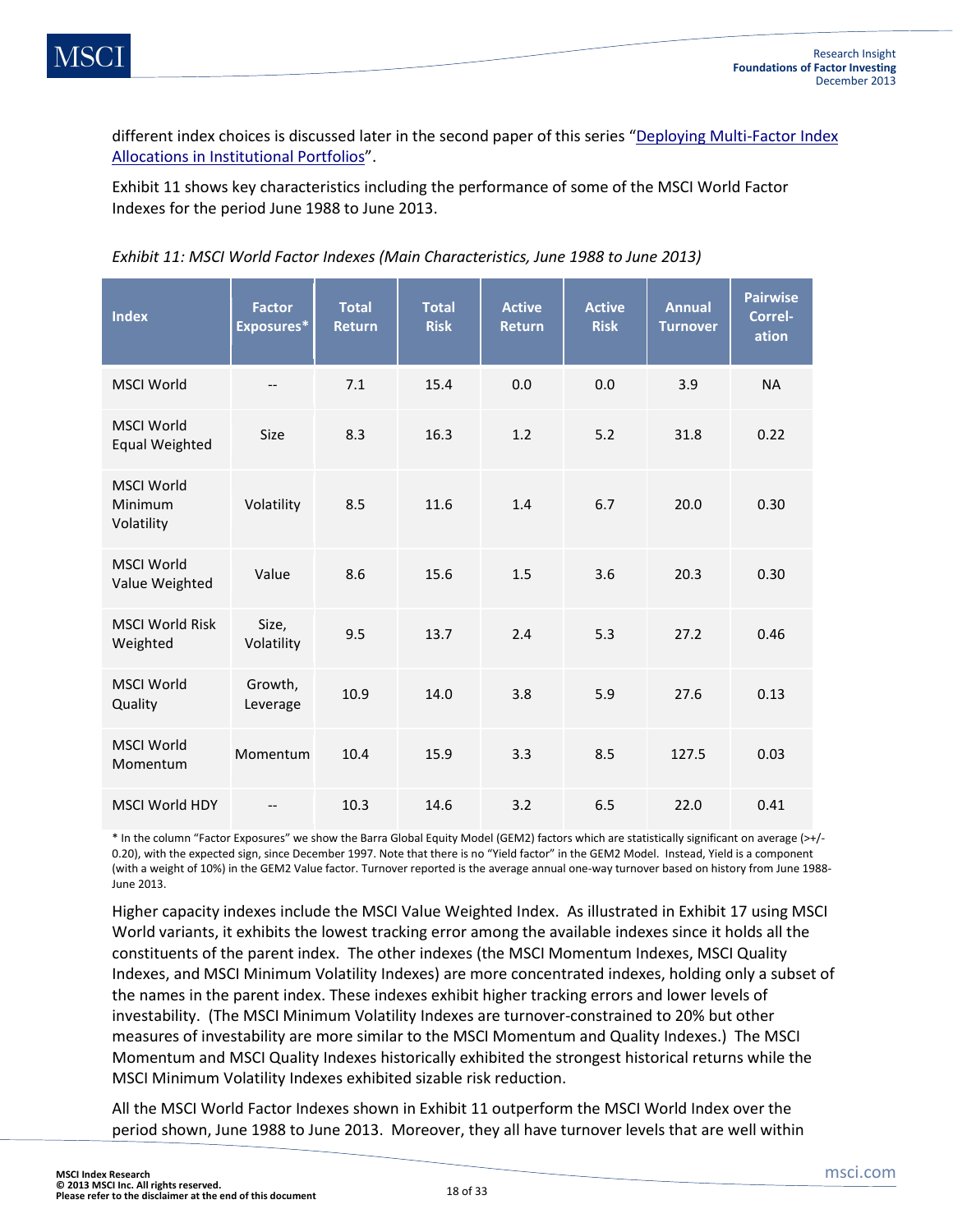different index choices is discussed later in the second paper of this series "[Deploying Multi-Factor Index](http://www.msci.com/resources/pdfs/Deploying_Multi_Factor_Index_Allocations_in_Institutional_Portfolios.pdf)  [Allocations in Institutional Portfolios](http://www.msci.com/resources/pdfs/Deploying_Multi_Factor_Index_Allocations_in_Institutional_Portfolios.pdf)".

Exhibit 11 shows key characteristics including the performance of some of the MSCI World Factor Indexes for the period June 1988 to June 2013.

|  | Exhibit 11: MSCI World Factor Indexes (Main Characteristics, June 1988 to June 2013) |  |  |  |
|--|--------------------------------------------------------------------------------------|--|--|--|
|--|--------------------------------------------------------------------------------------|--|--|--|

| <b>Index</b>                               | <b>Factor</b><br>Exposures* | <b>Total</b><br><b>Return</b> | <b>Total</b><br><b>Risk</b> | <b>Active</b><br><b>Return</b> | <b>Active</b><br><b>Risk</b> | <b>Annual</b><br><b>Turnover</b> | <b>Pairwise</b><br>Correl-<br>ation |
|--------------------------------------------|-----------------------------|-------------------------------|-----------------------------|--------------------------------|------------------------------|----------------------------------|-------------------------------------|
| <b>MSCI World</b>                          | $\overline{\phantom{a}}$    | 7.1                           | 15.4                        | 0.0                            | 0.0                          | 3.9                              | <b>NA</b>                           |
| <b>MSCI World</b><br><b>Equal Weighted</b> | <b>Size</b>                 | 8.3                           | 16.3                        | 1.2                            | 5.2                          | 31.8                             | 0.22                                |
| <b>MSCI World</b><br>Minimum<br>Volatility | Volatility                  | 8.5                           | 11.6                        | 1.4                            | 6.7                          | 20.0                             | 0.30                                |
| <b>MSCI World</b><br>Value Weighted        | Value                       | 8.6                           | 15.6                        | 1.5                            | 3.6                          | 20.3                             | 0.30                                |
| <b>MSCI World Risk</b><br>Weighted         | Size,<br>Volatility         | 9.5                           | 13.7                        | 2.4                            | 5.3                          | 27.2                             | 0.46                                |
| <b>MSCI World</b><br>Quality               | Growth,<br>Leverage         | 10.9                          | 14.0                        | 3.8                            | 5.9                          | 27.6                             | 0.13                                |
| <b>MSCI World</b><br>Momentum              | Momentum                    | 10.4                          | 15.9                        | 3.3                            | 8.5                          | 127.5                            | 0.03                                |
| <b>MSCI World HDY</b>                      |                             | 10.3                          | 14.6                        | 3.2                            | 6.5                          | 22.0                             | 0.41                                |

\* In the column "Factor Exposures" we show the Barra Global Equity Model (GEM2) factors which are statistically significant on average (>+/- 0.20), with the expected sign, since December 1997. Note that there is no "Yield factor" in the GEM2 Model. Instead, Yield is a component (with a weight of 10%) in the GEM2 Value factor. Turnover reported is the average annual one-way turnover based on history from June 1988- June 2013.

Higher capacity indexes include the MSCI Value Weighted Index. As illustrated in Exhibit 17 using MSCI World variants, it exhibits the lowest tracking error among the available indexes since it holds all the constituents of the parent index. The other indexes (the MSCI Momentum Indexes, MSCI Quality Indexes, and MSCI Minimum Volatility Indexes) are more concentrated indexes, holding only a subset of the names in the parent index. These indexes exhibit higher tracking errors and lower levels of investability. (The MSCI Minimum Volatility Indexes are turnover-constrained to 20% but other measures of investability are more similar to the MSCI Momentum and Quality Indexes.) The MSCI Momentum and MSCI Quality Indexes historically exhibited the strongest historical returns while the MSCI Minimum Volatility Indexes exhibited sizable risk reduction.

All the MSCI World Factor Indexes shown in Exhibit 11 outperform the MSCI World Index over the period shown, June 1988 to June 2013. Moreover, they all have turnover levels that are well within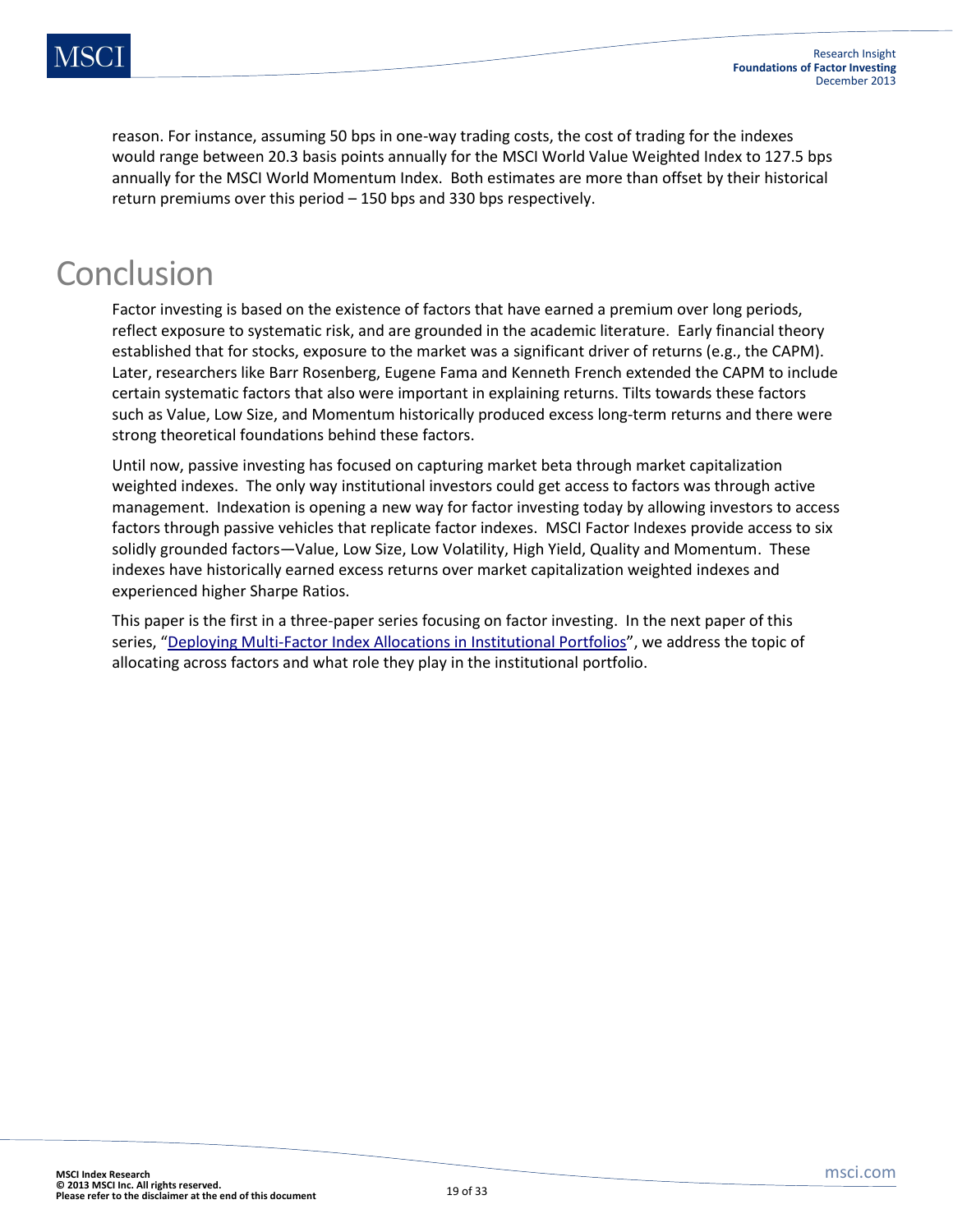reason. For instance, assuming 50 bps in one-way trading costs, the cost of trading for the indexes would range between 20.3 basis points annually for the MSCI World Value Weighted Index to 127.5 bps annually for the MSCI World Momentum Index. Both estimates are more than offset by their historical return premiums over this period – 150 bps and 330 bps respectively.

## Conclusion

Factor investing is based on the existence of factors that have earned a premium over long periods, reflect exposure to systematic risk, and are grounded in the academic literature. Early financial theory established that for stocks, exposure to the market was a significant driver of returns (e.g., the CAPM). Later, researchers like Barr Rosenberg, Eugene Fama and Kenneth French extended the CAPM to include certain systematic factors that also were important in explaining returns. Tilts towards these factors such as Value, Low Size, and Momentum historically produced excess long-term returns and there were strong theoretical foundations behind these factors.

Until now, passive investing has focused on capturing market beta through market capitalization weighted indexes. The only way institutional investors could get access to factors was through active management. Indexation is opening a new way for factor investing today by allowing investors to access factors through passive vehicles that replicate factor indexes. MSCI Factor Indexes provide access to six solidly grounded factors—Value, Low Size, Low Volatility, High Yield, Quality and Momentum. These indexes have historically earned excess returns over market capitalization weighted indexes and experienced higher Sharpe Ratios.

This paper is the first in a three-paper series focusing on factor investing. In the next paper of this series, "[Deploying Multi-Factor Index Allocations in Institutional Portfolios](http://www.msci.com/resources/pdfs/Deploying_Multi_Factor_Index_Allocations_in_Institutional_Portfolios.pdf)", we address the topic of allocating across factors and what role they play in the institutional portfolio.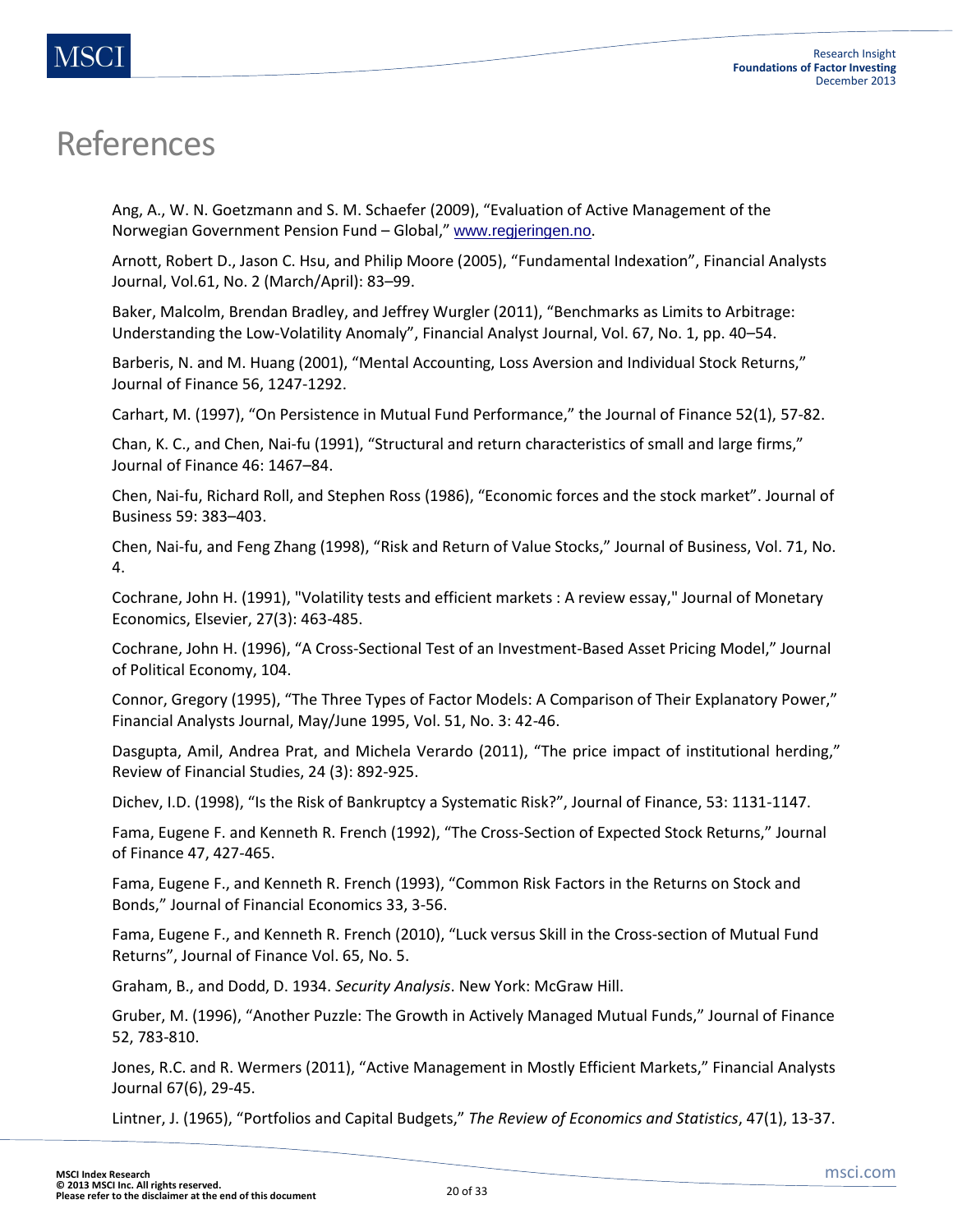## References

Ang, A., W. N. Goetzmann and S. M. Schaefer (2009), "Evaluation of Active Management of the Norwegian Government Pension Fund – Global," [www.regjeringen.no](http://www.regjeringen.no/).

Arnott, Robert D., Jason C. Hsu, and Philip Moore (2005), "Fundamental Indexation", Financial Analysts Journal, Vol.61, No. 2 (March/April): 83–99.

Baker, Malcolm, Brendan Bradley, and Jeffrey Wurgler (2011), "Benchmarks as Limits to Arbitrage: Understanding the Low-Volatility Anomaly", Financial Analyst Journal, Vol. 67, No. 1, pp. 40–54.

Barberis, N. and M. Huang (2001), "Mental Accounting, Loss Aversion and Individual Stock Returns," Journal of Finance 56, 1247-1292.

Carhart, M. (1997), "On Persistence in Mutual Fund Performance," the Journal of Finance 52(1), 57-82.

Chan, K. C., and Chen, Nai-fu (1991), "Structural and return characteristics of small and large firms," Journal of Finance 46: 1467–84.

Chen, Nai-fu, Richard Roll, and Stephen Ross (1986), "Economic forces and the stock market". Journal of Business 59: 383–403.

Chen, Nai-fu, and Feng Zhang (1998), "Risk and Return of Value Stocks," Journal of Business, Vol. 71, No. 4.

Cochrane, John H. (1991), "Volatility tests and efficient markets : A review essay," Journal of Monetary Economics, Elsevier, 27(3): 463-485.

Cochrane, John H. (1996), "A Cross-Sectional Test of an Investment-Based Asset Pricing Model," Journal of Political Economy, 104.

Connor, Gregory (1995), "The Three Types of Factor Models: A Comparison of Their Explanatory Power," Financial Analysts Journal, May/June 1995, Vol. 51, No. 3: 42-46.

Dasgupta, Amil, Andrea Prat, and Michela Verardo (2011), "The price impact of institutional herding," Review of Financial Studies, 24 (3): 892-925.

Dichev, I.D. (1998), "Is the Risk of Bankruptcy a Systematic Risk?", Journal of Finance, 53: 1131-1147.

Fama, Eugene F. and Kenneth R. French (1992), "The Cross-Section of Expected Stock Returns," Journal of Finance 47, 427-465.

Fama, Eugene F., and Kenneth R. French (1993), "Common Risk Factors in the Returns on Stock and Bonds," Journal of Financial Economics 33, 3-56.

Fama, Eugene F., and Kenneth R. French (2010), "Luck versus Skill in the Cross-section of Mutual Fund Returns", Journal of Finance Vol. 65, No. 5.

Graham, B., and Dodd, D. 1934. *Security Analysis*. New York: McGraw Hill.

Gruber, M. (1996), "Another Puzzle: The Growth in Actively Managed Mutual Funds," Journal of Finance 52, 783-810.

Jones, R.C. and R. Wermers (2011), "Active Management in Mostly Efficient Markets," Financial Analysts Journal 67(6), 29-45.

Lintner, J. (1965), "Portfolios and Capital Budgets," *The Review of Economics and Statistics*, 47(1), 13-37.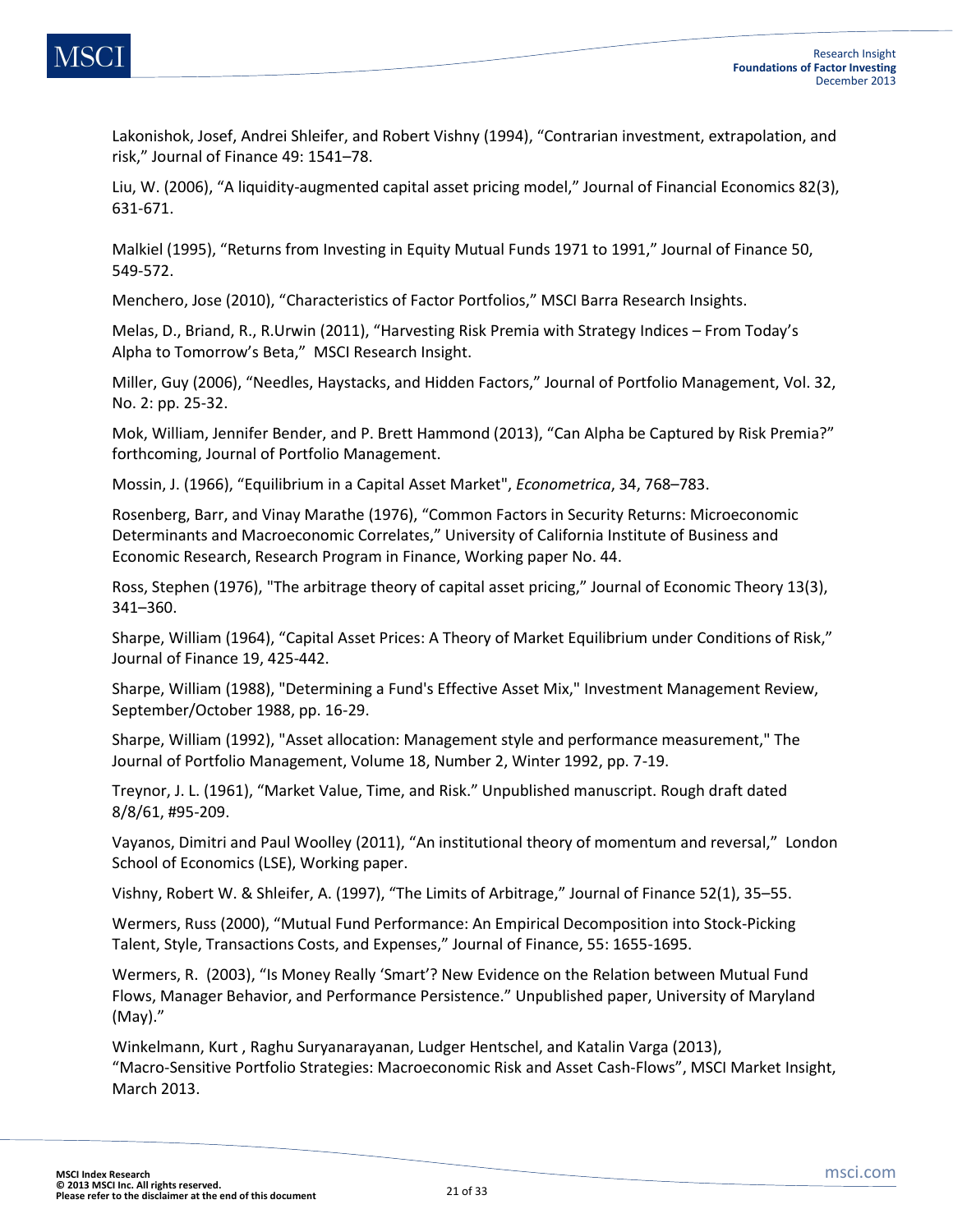Lakonishok, Josef, Andrei Shleifer, and Robert Vishny (1994), "Contrarian investment, extrapolation, and risk," Journal of Finance 49: 1541–78.

Liu, W. (2006), "A liquidity-augmented capital asset pricing model," Journal of Financial Economics 82(3), 631-671.

Malkiel (1995), "Returns from Investing in Equity Mutual Funds 1971 to 1991," Journal of Finance 50, 549-572.

Menchero, Jose (2010), "Characteristics of Factor Portfolios," MSCI Barra Research Insights.

Melas, D., Briand, R., R.Urwin (2011), "Harvesting Risk Premia with Strategy Indices – From Today's Alpha to Tomorrow's Beta," MSCI Research Insight.

Miller, Guy (2006), "Needles, Haystacks, and Hidden Factors," Journal of Portfolio Management, Vol. 32, No. 2: pp. 25-32.

Mok, William, Jennifer Bender, and P. Brett Hammond (2013), "Can Alpha be Captured by Risk Premia?" forthcoming, Journal of Portfolio Management.

Mossin, J. (1966), "Equilibrium in a Capital Asset Market", *Econometrica*, 34, 768–783.

Rosenberg, Barr, and Vinay Marathe (1976), "Common Factors in Security Returns: Microeconomic Determinants and Macroeconomic Correlates," University of California Institute of Business and Economic Research, Research Program in Finance, Working paper No. 44.

Ross, Stephen (1976), "The arbitrage theory of capital asset pricing," Journal of Economic Theory 13(3), 341–360.

Sharpe, William (1964), "Capital Asset Prices: A Theory of Market Equilibrium under Conditions of Risk," Journal of Finance 19, 425-442.

Sharpe, William (1988), "Determining a Fund's Effective Asset Mix," Investment Management Review, September/October 1988, pp. 16-29.

Sharpe, William (1992), "Asset allocation: Management style and performance measurement," The Journal of Portfolio Management, Volume 18, Number 2, Winter 1992, pp. 7-19.

Treynor, J. L. (1961), "Market Value, Time, and Risk." Unpublished manuscript. Rough draft dated 8/8/61, #95-209.

Vayanos, Dimitri and Paul Woolley (2011), "An institutional theory of momentum and reversal," London School of Economics (LSE), Working paper.

Vishny, Robert W. & Shleifer, A. (1997), "The Limits of Arbitrage," Journal of Finance 52(1), 35–55.

Wermers, Russ (2000), "Mutual Fund Performance: An Empirical Decomposition into Stock-Picking Talent, Style, Transactions Costs, and Expenses," Journal of Finance, 55: 1655-1695.

Wermers, R. (2003), "Is Money Really 'Smart'? New Evidence on the Relation between Mutual Fund Flows, Manager Behavior, and Performance Persistence." Unpublished paper, University of Maryland (May)."

Winkelmann, Kurt , Raghu Suryanarayanan, Ludger Hentschel, and Katalin Varga (2013), "Macro‐Sensitive Portfolio Strategies: Macroeconomic Risk and Asset Cash‐Flows", MSCI Market Insight, March 2013.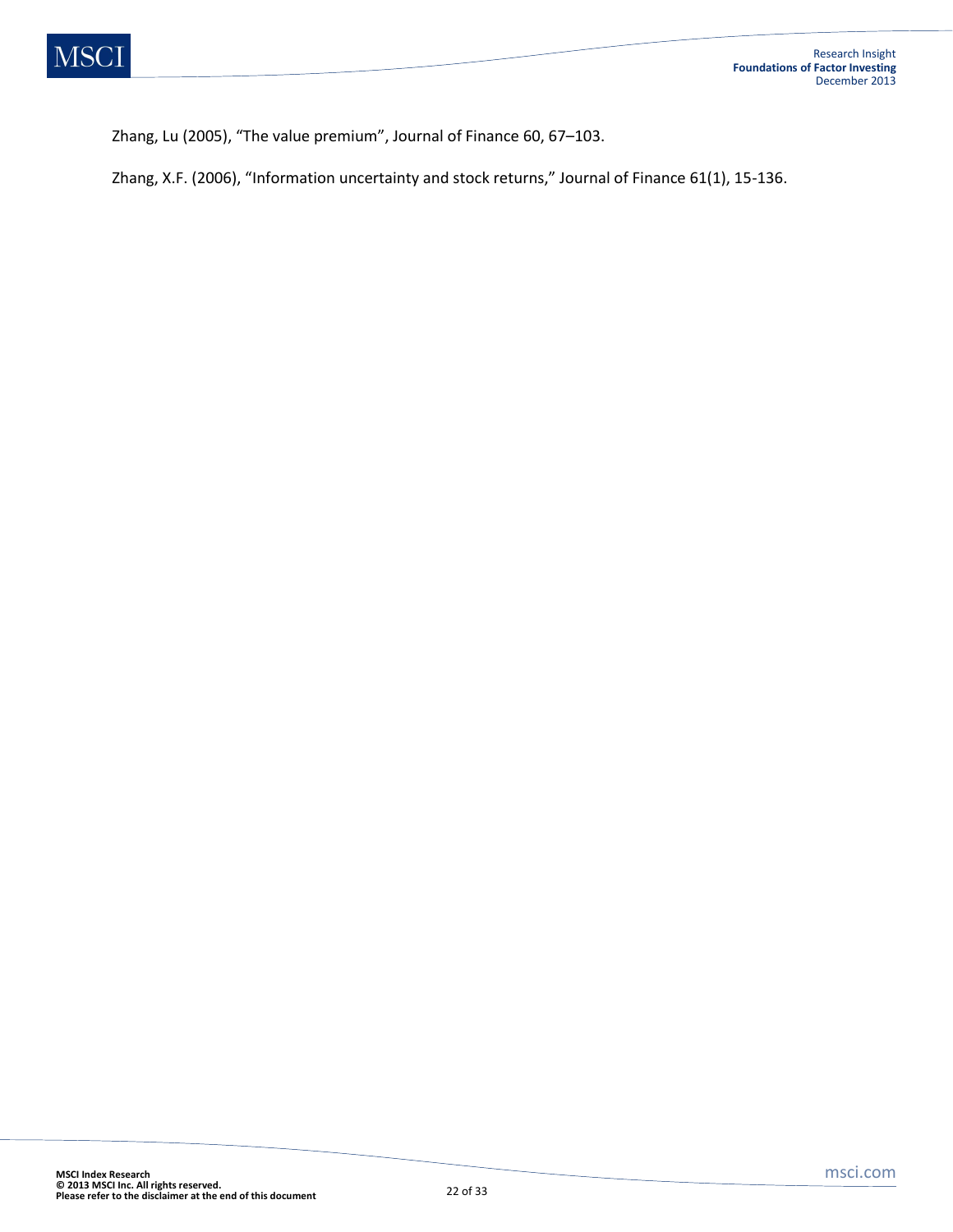Zhang, Lu (2005), "The value premium", Journal of Finance 60, 67–103.

Zhang, X.F. (2006), "Information uncertainty and stock returns," Journal of Finance 61(1), 15-136.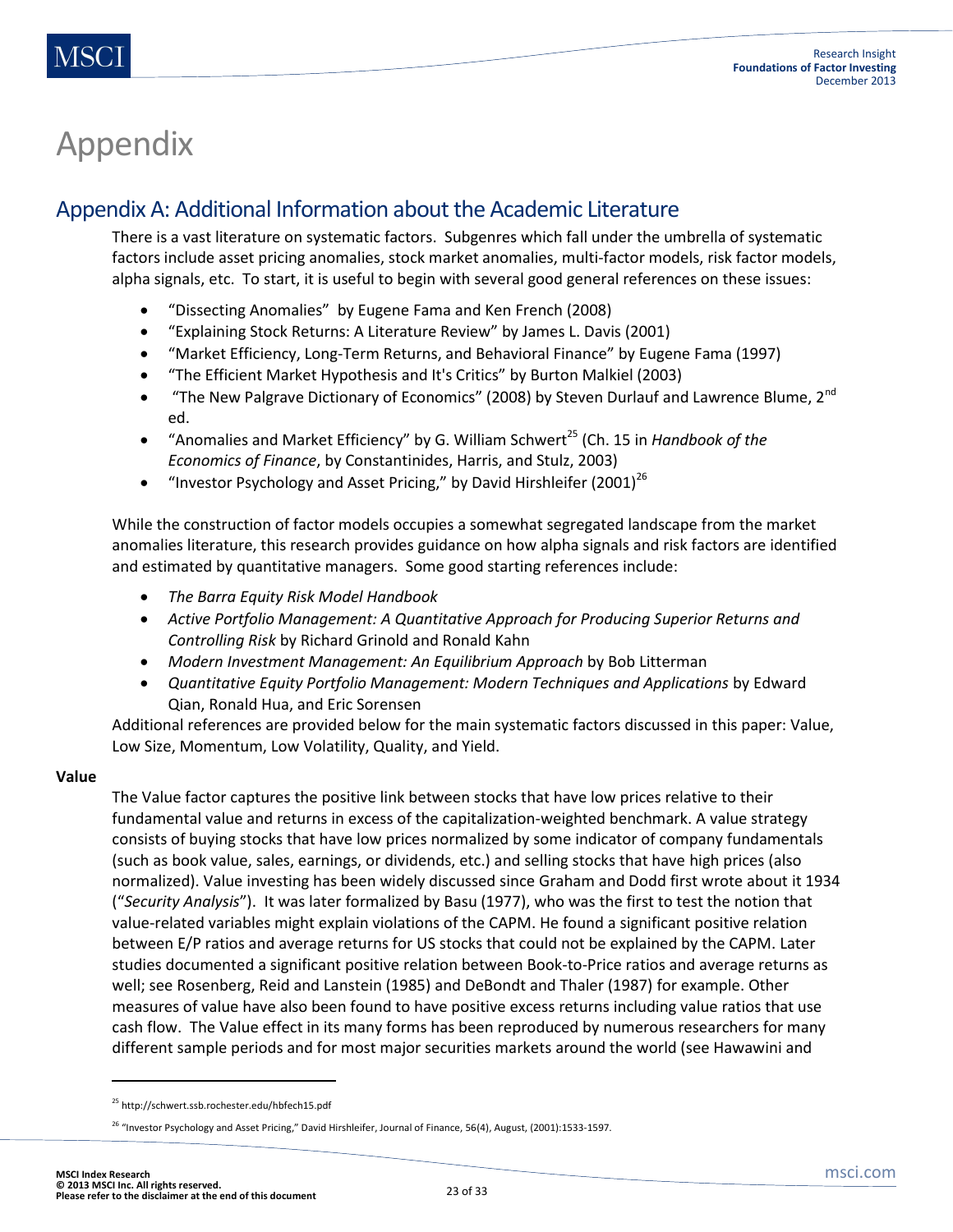## Appendix

### Appendix A: Additional Information about the Academic Literature

There is a vast literature on systematic factors. Subgenres which fall under the umbrella of systematic factors include asset pricing anomalies, stock market anomalies, multi-factor models, risk factor models, alpha signals, etc. To start, it is useful to begin with several good general references on these issues:

- "Dissecting Anomalies" by Eugene Fama and Ken French (2008)
- "Explaining Stock Returns: A Literature Review" by James L. Davis (2001)
- "Market Efficiency, Long-Term Returns, and Behavioral Finance" by Eugene Fama (1997)
- "The Efficient Market Hypothesis and It's Critics" by Burton Malkiel (2003)
- $\bullet$  "The New Palgrave Dictionary of Economics" (2008) by Steven Durlauf and Lawrence Blume, 2<sup>nd</sup> ed.
- "Anomalies and Market Efficiency" by G. William Schwert<sup>25</sup> (Ch. 15 in *Handbook of the Economics of Finance*, by Constantinides, Harris, and Stulz, 2003)
- "Investor Psychology and Asset Pricing," by David Hirshleifer  $(2001)^{26}$

While the construction of factor models occupies a somewhat segregated landscape from the market anomalies literature, this research provides guidance on how alpha signals and risk factors are identified and estimated by quantitative managers. Some good starting references include:

- *The Barra Equity Risk Model Handbook*
- *Active Portfolio Management: A Quantitative Approach for Producing Superior Returns and Controlling Risk* by Richard Grinold and Ronald Kahn
- *Modern Investment Management: An Equilibrium Approach* by Bob Litterman
- *Quantitative Equity Portfolio Management: Modern Techniques and Applications* by Edward Qian, Ronald Hua, and Eric Sorensen

Additional references are provided below for the main systematic factors discussed in this paper: Value, Low Size, Momentum, Low Volatility, Quality, and Yield.

#### **Value**

The Value factor captures the positive link between stocks that have low prices relative to their fundamental value and returns in excess of the capitalization-weighted benchmark. A value strategy consists of buying stocks that have low prices normalized by some indicator of company fundamentals (such as book value, sales, earnings, or dividends, etc.) and selling stocks that have high prices (also normalized). Value investing has been widely discussed since Graham and Dodd first wrote about it 1934 ("*Security Analysis*"). It was later formalized by Basu (1977), who was the first to test the notion that value-related variables might explain violations of the CAPM. He found a significant positive relation between E/P ratios and average returns for US stocks that could not be explained by the CAPM. Later studies documented a significant positive relation between Book-to-Price ratios and average returns as well; see Rosenberg, Reid and Lanstein (1985) and DeBondt and Thaler (1987) for example. Other measures of value have also been found to have positive excess returns including value ratios that use cash flow. The Value effect in its many forms has been reproduced by numerous researchers for many different sample periods and for most major securities markets around the world (see Hawawini and

 $\overline{\phantom{a}}$ 

<sup>&</sup>lt;sup>25</sup> http://schwert.ssb.rochester.edu/hbfech15.pdf

<sup>&</sup>lt;sup>26</sup> "Investor Psychology and Asset Pricing," David Hirshleifer, Journal of Finance, 56(4), August, (2001):1533-1597.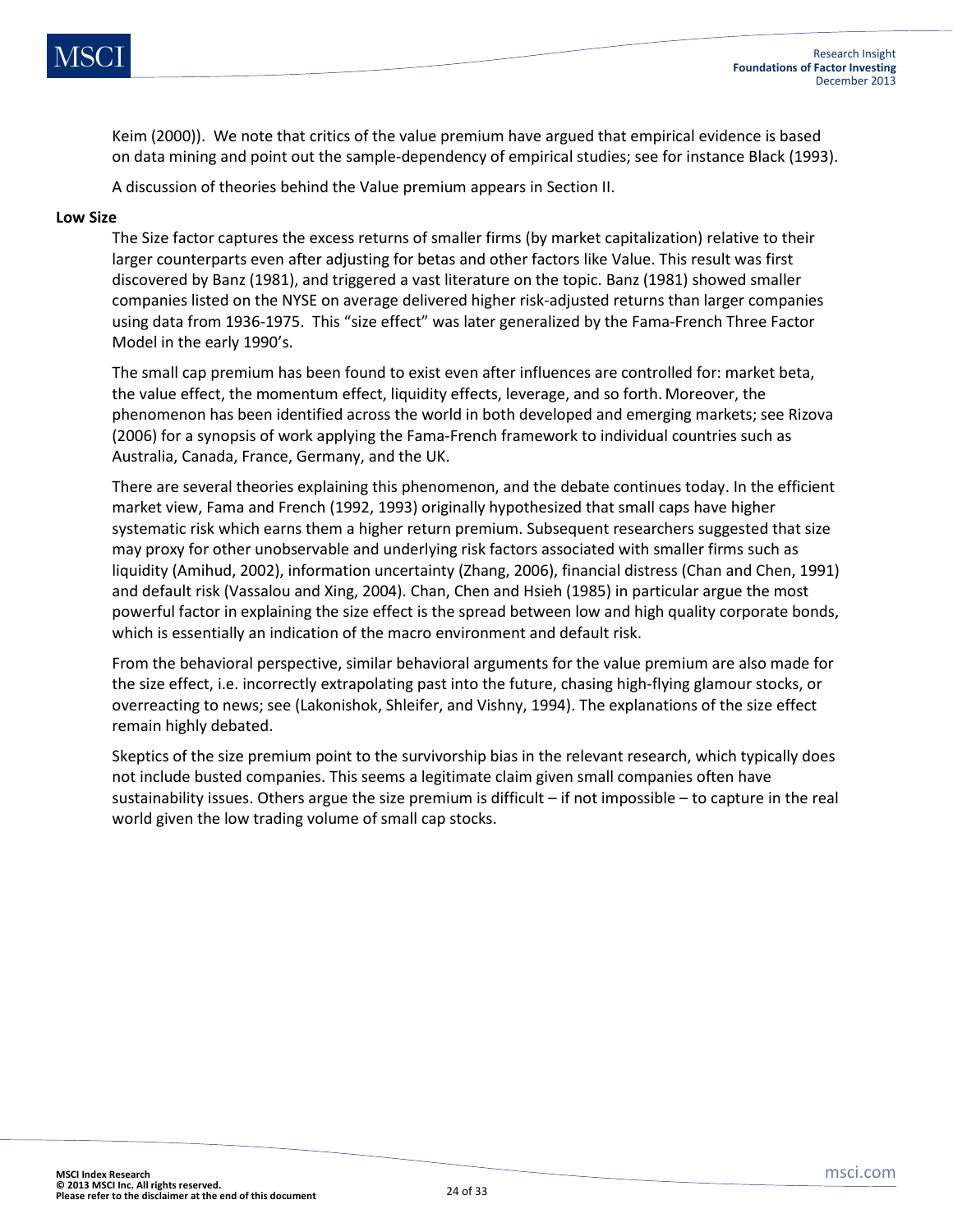![](_page_23_Picture_0.jpeg)

Keim (2000)). We note that critics of the value premium have argued that empirical evidence is based on data mining and point out the sample-dependency of empirical studies; see for instance Black (1993).

A discussion of theories behind the Value premium appears in Section II.

#### **Low Size**

The Size factor captures the excess returns of smaller firms (by market capitalization) relative to their larger counterparts even after adjusting for betas and other factors like Value. This result was first discovered by Banz (1981), and triggered a vast literature on the topic. Banz (1981) showed smaller companies listed on the NYSE on average delivered higher risk-adjusted returns than larger companies using data from 1936-1975. This "size effect" was later generalized by the Fama-French Three Factor Model in the early 1990's.

The small cap premium has been found to exist even after influences are controlled for: market beta, the value effect, the momentum effect, liquidity effects, leverage, and so forth. Moreover, the phenomenon has been identified across the world in both developed and emerging markets; see Rizova (2006) for a synopsis of work applying the Fama-French framework to individual countries such as Australia, Canada, France, Germany, and the UK.

There are several theories explaining this phenomenon, and the debate continues today. In the efficient market view, Fama and French (1992, 1993) originally hypothesized that small caps have higher systematic risk which earns them a higher return premium. Subsequent researchers suggested that size may proxy for other unobservable and underlying risk factors associated with smaller firms such as liquidity (Amihud, 2002), information uncertainty (Zhang, 2006), financial distress (Chan and Chen, 1991) and default risk (Vassalou and Xing, 2004). Chan, Chen and Hsieh (1985) in particular argue the most powerful factor in explaining the size effect is the spread between low and high quality corporate bonds, which is essentially an indication of the macro environment and default risk.

From the behavioral perspective, similar behavioral arguments for the value premium are also made for the size effect, i.e. incorrectly extrapolating past into the future, chasing high-flying glamour stocks, or overreacting to news; see (Lakonishok, Shleifer, and Vishny, 1994). The explanations of the size effect remain highly debated.

Skeptics of the size premium point to the survivorship bias in the relevant research, which typically does not include busted companies. This seems a legitimate claim given small companies often have sustainability issues. Others argue the size premium is difficult – if not impossible – to capture in the real world given the low trading volume of small cap stocks.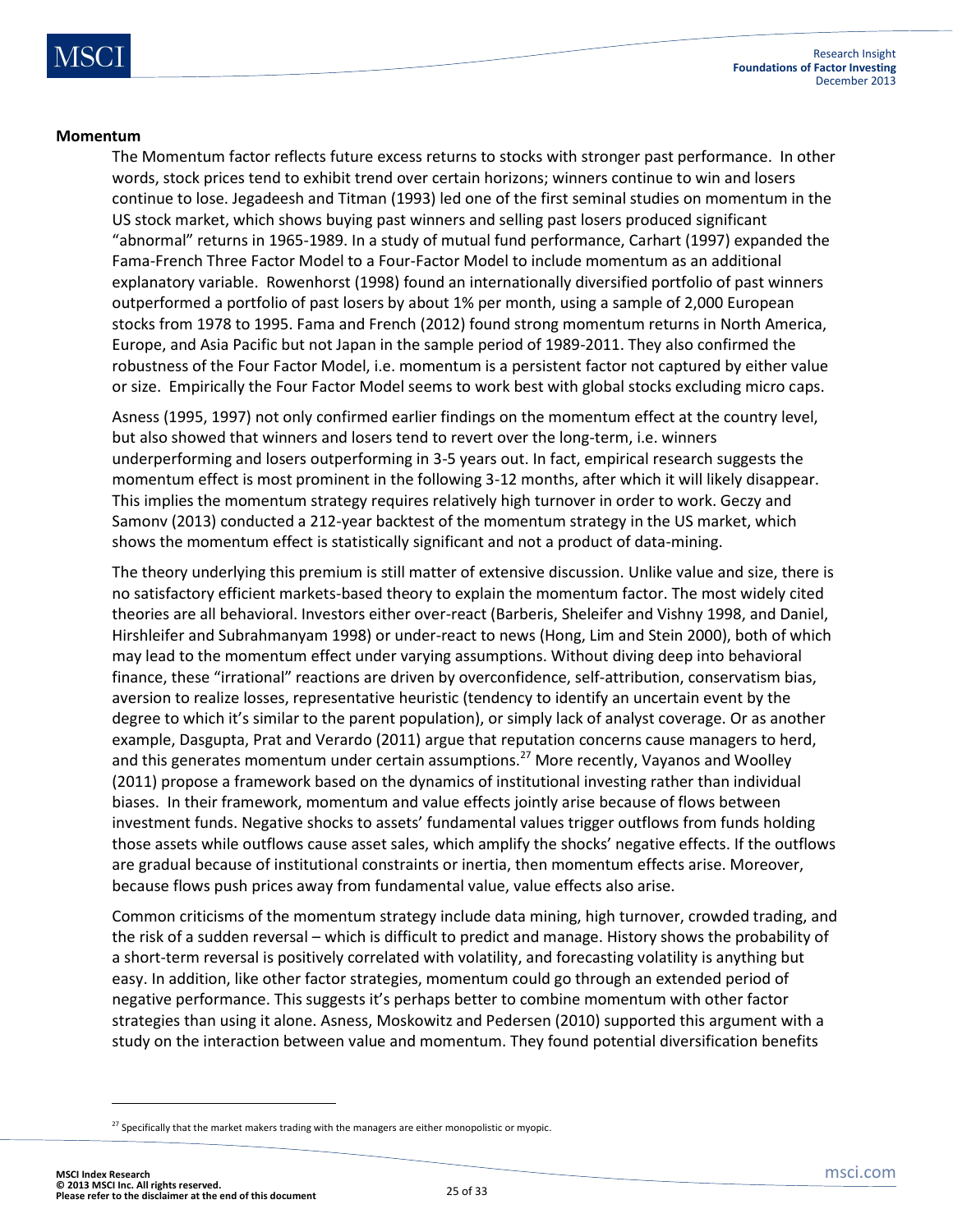#### **Momentum**

The Momentum factor reflects future excess returns to stocks with stronger past performance. In other words, stock prices tend to exhibit trend over certain horizons; winners continue to win and losers continue to lose. Jegadeesh and Titman (1993) led one of the first seminal studies on momentum in the US stock market, which shows buying past winners and selling past losers produced significant "abnormal" returns in 1965-1989. In a study of mutual fund performance, Carhart (1997) expanded the Fama-French Three Factor Model to a Four-Factor Model to include momentum as an additional explanatory variable. Rowenhorst (1998) found an internationally diversified portfolio of past winners outperformed a portfolio of past losers by about 1% per month, using a sample of 2,000 European stocks from 1978 to 1995. Fama and French (2012) found strong momentum returns in North America, Europe, and Asia Pacific but not Japan in the sample period of 1989-2011. They also confirmed the robustness of the Four Factor Model, i.e. momentum is a persistent factor not captured by either value or size. Empirically the Four Factor Model seems to work best with global stocks excluding micro caps.

Asness (1995, 1997) not only confirmed earlier findings on the momentum effect at the country level, but also showed that winners and losers tend to revert over the long-term, i.e. winners underperforming and losers outperforming in 3-5 years out. In fact, empirical research suggests the momentum effect is most prominent in the following 3-12 months, after which it will likely disappear. This implies the momentum strategy requires relatively high turnover in order to work. Geczy and Samonv (2013) conducted a 212-year backtest of the momentum strategy in the US market, which shows the momentum effect is statistically significant and not a product of data-mining.

The theory underlying this premium is still matter of extensive discussion. Unlike value and size, there is no satisfactory efficient markets-based theory to explain the momentum factor. The most widely cited theories are all behavioral. Investors either over-react (Barberis, Sheleifer and Vishny 1998, and Daniel, Hirshleifer and Subrahmanyam 1998) or under-react to news (Hong, Lim and Stein 2000), both of which may lead to the momentum effect under varying assumptions. Without diving deep into behavioral finance, these "irrational" reactions are driven by overconfidence, self-attribution, conservatism bias, aversion to realize losses, representative heuristic (tendency to identify an uncertain event by the degree to which it's similar to the parent population), or simply lack of analyst coverage. Or as another example, Dasgupta, Prat and Verardo (2011) argue that reputation concerns cause managers to herd, and this generates momentum under certain assumptions.<sup>27</sup> More recently, Vayanos and Woolley (2011) propose a framework based on the dynamics of institutional investing rather than individual biases. In their framework, momentum and value effects jointly arise because of flows between investment funds. Negative shocks to assets' fundamental values trigger outflows from funds holding those assets while outflows cause asset sales, which amplify the shocks' negative effects. If the outflows are gradual because of institutional constraints or inertia, then momentum effects arise. Moreover, because flows push prices away from fundamental value, value effects also arise.

Common criticisms of the momentum strategy include data mining, high turnover, crowded trading, and the risk of a sudden reversal – which is difficult to predict and manage. History shows the probability of a short-term reversal is positively correlated with volatility, and forecasting volatility is anything but easy. In addition, like other factor strategies, momentum could go through an extended period of negative performance. This suggests it's perhaps better to combine momentum with other factor strategies than using it alone. Asness, Moskowitz and Pedersen (2010) supported this argument with a study on the interaction between value and momentum. They found potential diversification benefits

 $27$  Specifically that the market makers trading with the managers are either monopolistic or myopic.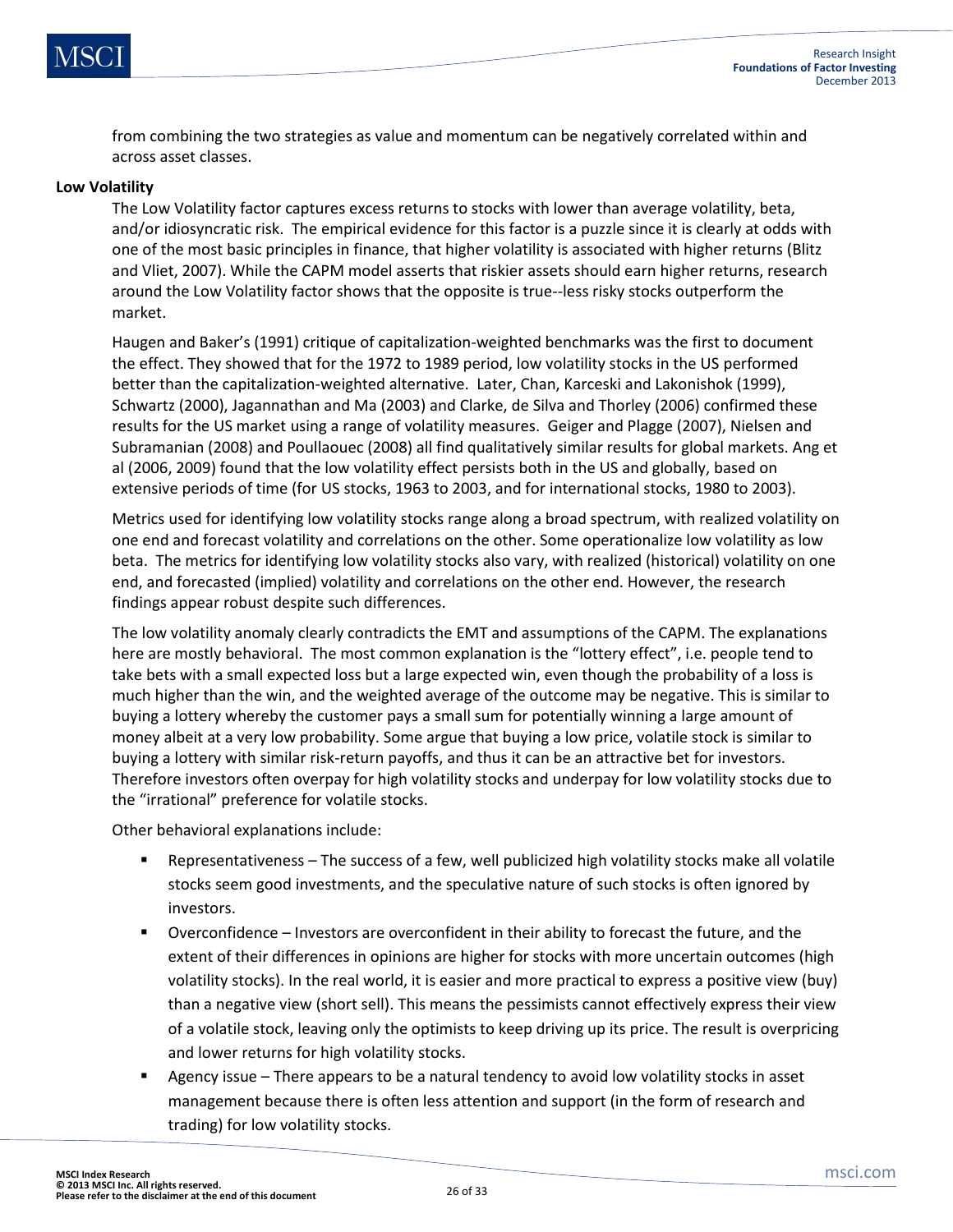![](_page_25_Picture_0.jpeg)

from combining the two strategies as value and momentum can be negatively correlated within and across asset classes.

#### **Low Volatility**

The Low Volatility factor captures excess returns to stocks with lower than average volatility, beta, and/or idiosyncratic risk. The empirical evidence for this factor is a puzzle since it is clearly at odds with one of the most basic principles in finance, that higher volatility is associated with higher returns (Blitz and Vliet, 2007). While the CAPM model asserts that riskier assets should earn higher returns, research around the Low Volatility factor shows that the opposite is true--less risky stocks outperform the market.

Haugen and Baker's (1991) critique of capitalization-weighted benchmarks was the first to document the effect. They showed that for the 1972 to 1989 period, low volatility stocks in the US performed better than the capitalization-weighted alternative. Later, Chan, Karceski and Lakonishok (1999), Schwartz (2000), Jagannathan and Ma (2003) and Clarke, de Silva and Thorley (2006) confirmed these results for the US market using a range of volatility measures. Geiger and Plagge (2007), Nielsen and Subramanian (2008) and Poullaouec (2008) all find qualitatively similar results for global markets. Ang et al (2006, 2009) found that the low volatility effect persists both in the US and globally, based on extensive periods of time (for US stocks, 1963 to 2003, and for international stocks, 1980 to 2003).

Metrics used for identifying low volatility stocks range along a broad spectrum, with realized volatility on one end and forecast volatility and correlations on the other. Some operationalize low volatility as low beta. The metrics for identifying low volatility stocks also vary, with realized (historical) volatility on one end, and forecasted (implied) volatility and correlations on the other end. However, the research findings appear robust despite such differences.

The low volatility anomaly clearly contradicts the EMT and assumptions of the CAPM. The explanations here are mostly behavioral. The most common explanation is the "lottery effect", i.e. people tend to take bets with a small expected loss but a large expected win, even though the probability of a loss is much higher than the win, and the weighted average of the outcome may be negative. This is similar to buying a lottery whereby the customer pays a small sum for potentially winning a large amount of money albeit at a very low probability. Some argue that buying a low price, volatile stock is similar to buying a lottery with similar risk-return payoffs, and thus it can be an attractive bet for investors. Therefore investors often overpay for high volatility stocks and underpay for low volatility stocks due to the "irrational" preference for volatile stocks.

Other behavioral explanations include:

- Representativeness The success of a few, well publicized high volatility stocks make all volatile stocks seem good investments, and the speculative nature of such stocks is often ignored by investors.
- Overconfidence Investors are overconfident in their ability to forecast the future, and the extent of their differences in opinions are higher for stocks with more uncertain outcomes (high volatility stocks). In the real world, it is easier and more practical to express a positive view (buy) than a negative view (short sell). This means the pessimists cannot effectively express their view of a volatile stock, leaving only the optimists to keep driving up its price. The result is overpricing and lower returns for high volatility stocks.
- Agency issue There appears to be a natural tendency to avoid low volatility stocks in asset management because there is often less attention and support (in the form of research and trading) for low volatility stocks.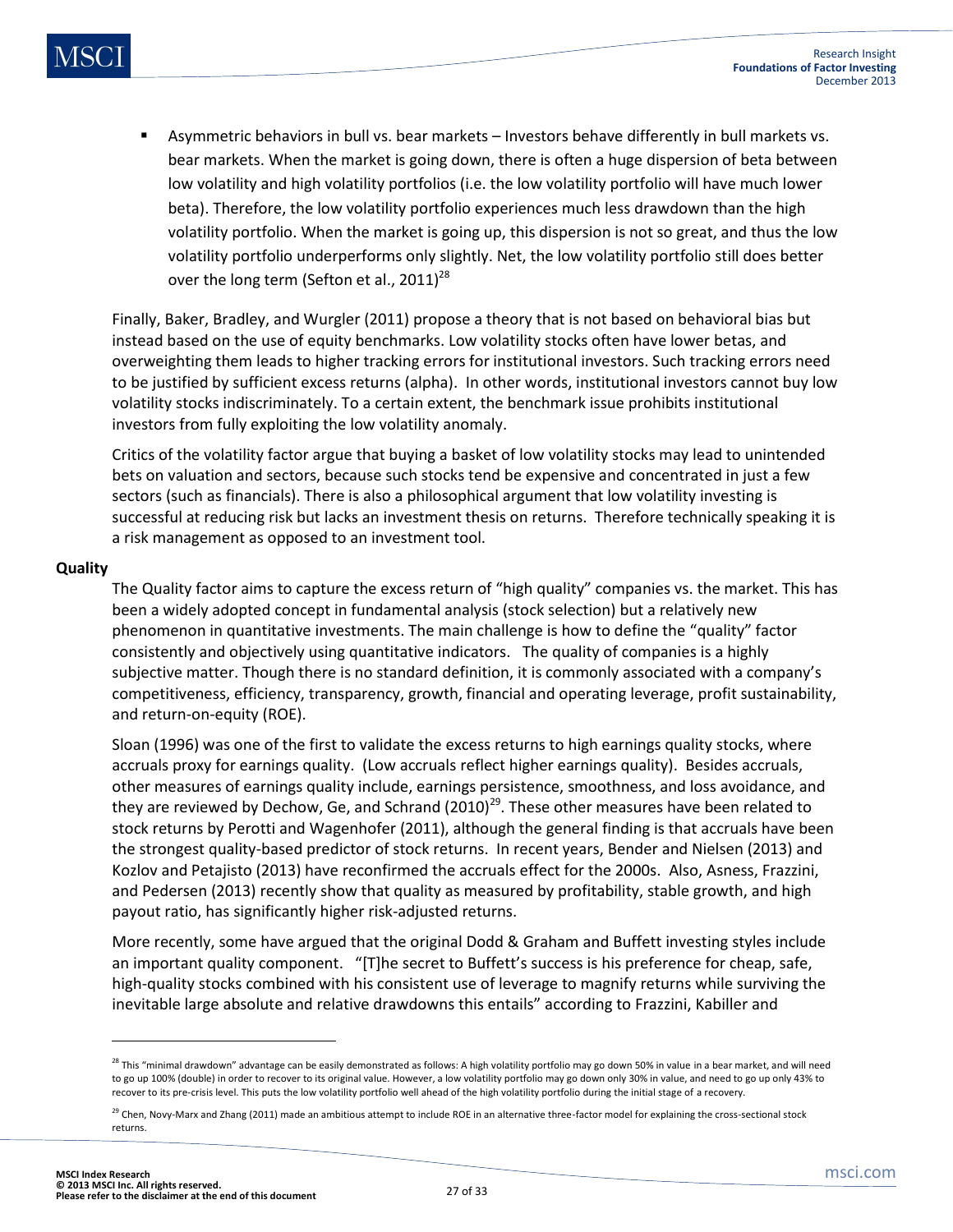Asymmetric behaviors in bull vs. bear markets – Investors behave differently in bull markets vs. bear markets. When the market is going down, there is often a huge dispersion of beta between low volatility and high volatility portfolios (i.e. the low volatility portfolio will have much lower beta). Therefore, the low volatility portfolio experiences much less drawdown than the high volatility portfolio. When the market is going up, this dispersion is not so great, and thus the low volatility portfolio underperforms only slightly. Net, the low volatility portfolio still does better over the long term (Sefton et al., 2011) $^{28}$ 

Finally, Baker, Bradley, and Wurgler (2011) propose a theory that is not based on behavioral bias but instead based on the use of equity benchmarks. Low volatility stocks often have lower betas, and overweighting them leads to higher tracking errors for institutional investors. Such tracking errors need to be justified by sufficient excess returns (alpha). In other words, institutional investors cannot buy low volatility stocks indiscriminately. To a certain extent, the benchmark issue prohibits institutional investors from fully exploiting the low volatility anomaly.

Critics of the volatility factor argue that buying a basket of low volatility stocks may lead to unintended bets on valuation and sectors, because such stocks tend be expensive and concentrated in just a few sectors (such as financials). There is also a philosophical argument that low volatility investing is successful at reducing risk but lacks an investment thesis on returns. Therefore technically speaking it is a risk management as opposed to an investment tool.

#### **Quality**

The Quality factor aims to capture the excess return of "high quality" companies vs. the market. This has been a widely adopted concept in fundamental analysis (stock selection) but a relatively new phenomenon in quantitative investments. The main challenge is how to define the "quality" factor consistently and objectively using quantitative indicators. The quality of companies is a highly subjective matter. Though there is no standard definition, it is commonly associated with a company's competitiveness, efficiency, transparency, growth, financial and operating leverage, profit sustainability, and return-on-equity (ROE).

Sloan (1996) was one of the first to validate the excess returns to high earnings quality stocks, where accruals proxy for earnings quality. (Low accruals reflect higher earnings quality). Besides accruals, other measures of earnings quality include, earnings persistence, smoothness, and loss avoidance, and they are reviewed by Dechow, Ge, and Schrand  $(2010)^{29}$ . These other measures have been related to stock returns by Perotti and Wagenhofer (2011), although the general finding is that accruals have been the strongest quality-based predictor of stock returns. In recent years, Bender and Nielsen (2013) and Kozlov and Petajisto (2013) have reconfirmed the accruals effect for the 2000s. Also, Asness, Frazzini, and Pedersen (2013) recently show that quality as measured by profitability, stable growth, and high payout ratio, has significantly higher risk-adjusted returns.

More recently, some have argued that the original Dodd & Graham and Buffett investing styles include an important quality component. "[T]he secret to Buffett's success is his preference for cheap, safe, high-quality stocks combined with his consistent use of leverage to magnify returns while surviving the inevitable large absolute and relative drawdowns this entails" according to Frazzini, Kabiller and

l

 $^{28}$  This "minimal drawdown" advantage can be easily demonstrated as follows: A high volatility portfolio may go down 50% in value in a bear market, and will need to go up 100% (double) in order to recover to its original value. However, a low volatility portfolio may go down only 30% in value, and need to go up only 43% to recover to its pre-crisis level. This puts the low volatility portfolio well ahead of the high volatility portfolio during the initial stage of a recovery.

<sup>&</sup>lt;sup>29</sup> Chen, Novy-Marx and Zhang (2011) made an ambitious attempt to include ROE in an alternative three-factor model for explaining the cross-sectional stock returns.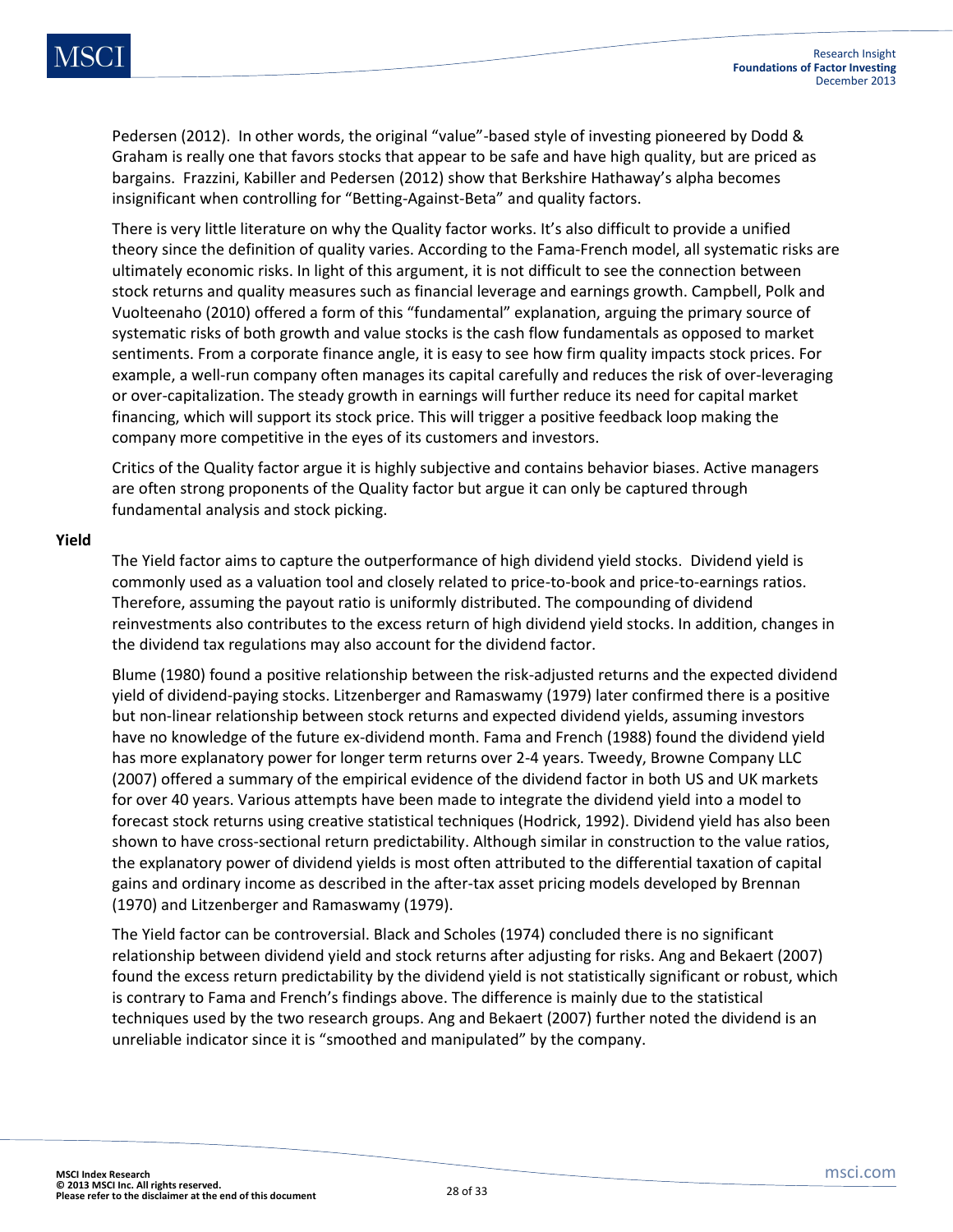Pedersen (2012). In other words, the original "value"-based style of investing pioneered by Dodd & Graham is really one that favors stocks that appear to be safe and have high quality, but are priced as bargains. Frazzini, Kabiller and Pedersen (2012) show that Berkshire Hathaway's alpha becomes insignificant when controlling for "Betting-Against-Beta" and quality factors.

There is very little literature on why the Quality factor works. It's also difficult to provide a unified theory since the definition of quality varies. According to the Fama-French model, all systematic risks are ultimately economic risks. In light of this argument, it is not difficult to see the connection between stock returns and quality measures such as financial leverage and earnings growth. Campbell, Polk and Vuolteenaho (2010) offered a form of this "fundamental" explanation, arguing the primary source of systematic risks of both growth and value stocks is the cash flow fundamentals as opposed to market sentiments. From a corporate finance angle, it is easy to see how firm quality impacts stock prices. For example, a well-run company often manages its capital carefully and reduces the risk of over-leveraging or over-capitalization. The steady growth in earnings will further reduce its need for capital market financing, which will support its stock price. This will trigger a positive feedback loop making the company more competitive in the eyes of its customers and investors.

Critics of the Quality factor argue it is highly subjective and contains behavior biases. Active managers are often strong proponents of the Quality factor but argue it can only be captured through fundamental analysis and stock picking.

#### **Yield**

The Yield factor aims to capture the outperformance of high dividend yield stocks. Dividend yield is commonly used as a valuation tool and closely related to price-to-book and price-to-earnings ratios. Therefore, assuming the payout ratio is uniformly distributed. The compounding of dividend reinvestments also contributes to the excess return of high dividend yield stocks. In addition, changes in the dividend tax regulations may also account for the dividend factor.

Blume (1980) found a positive relationship between the risk-adjusted returns and the expected dividend yield of dividend-paying stocks. Litzenberger and Ramaswamy (1979) later confirmed there is a positive but non-linear relationship between stock returns and expected dividend yields, assuming investors have no knowledge of the future ex-dividend month. Fama and French (1988) found the dividend yield has more explanatory power for longer term returns over 2-4 years. Tweedy, Browne Company LLC (2007) offered a summary of the empirical evidence of the dividend factor in both US and UK markets for over 40 years. Various attempts have been made to integrate the dividend yield into a model to forecast stock returns using creative statistical techniques (Hodrick, 1992). Dividend yield has also been shown to have cross-sectional return predictability. Although similar in construction to the value ratios, the explanatory power of dividend yields is most often attributed to the differential taxation of capital gains and ordinary income as described in the after-tax asset pricing models developed by Brennan (1970) and Litzenberger and Ramaswamy (1979).

The Yield factor can be controversial. Black and Scholes (1974) concluded there is no significant relationship between dividend yield and stock returns after adjusting for risks. Ang and Bekaert (2007) found the excess return predictability by the dividend yield is not statistically significant or robust, which is contrary to Fama and French's findings above. The difference is mainly due to the statistical techniques used by the two research groups. Ang and Bekaert (2007) further noted the dividend is an unreliable indicator since it is "smoothed and manipulated" by the company.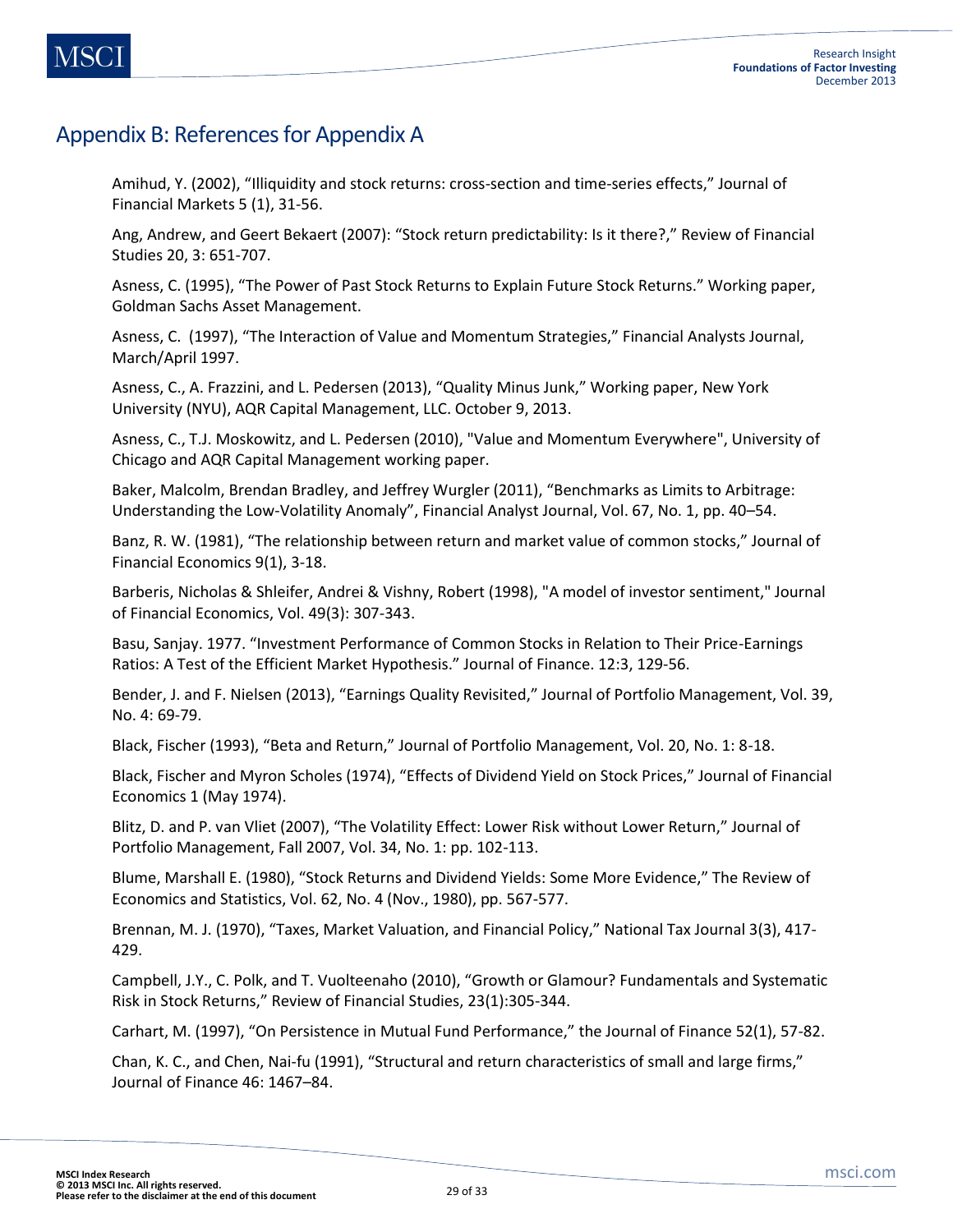### Appendix B: References for Appendix A

Amihud, Y. (2002), "Illiquidity and stock returns: cross-section and time-series effects," Journal of Financial Markets 5 (1), 31-56.

Ang, Andrew, and Geert Bekaert (2007): "Stock return predictability: Is it there?," Review of Financial Studies 20, 3: 651-707.

Asness, C. (1995), "The Power of Past Stock Returns to Explain Future Stock Returns." Working paper, Goldman Sachs Asset Management.

Asness, C. (1997), "The Interaction of Value and Momentum Strategies," Financial Analysts Journal, March/April 1997.

Asness, C., A. Frazzini, and L. Pedersen (2013), "Quality Minus Junk," Working paper, New York University (NYU), AQR Capital Management, LLC. October 9, 2013.

Asness, C., T.J. Moskowitz, and L. Pedersen (2010), "Value and Momentum Everywhere", University of Chicago and AQR Capital Management working paper.

Baker, Malcolm, Brendan Bradley, and Jeffrey Wurgler (2011), "Benchmarks as Limits to Arbitrage: Understanding the Low-Volatility Anomaly", Financial Analyst Journal, Vol. 67, No. 1, pp. 40–54.

Banz, R. W. (1981), "The relationship between return and market value of common stocks," Journal of Financial Economics 9(1), 3-18.

Barberis, Nicholas & Shleifer, Andrei & Vishny, Robert (1998), "A model of investor sentiment," Journal of Financial Economics, Vol. 49(3): 307-343.

Basu, Sanjay. 1977. "Investment Performance of Common Stocks in Relation to Their Price-Earnings Ratios: A Test of the Efficient Market Hypothesis." Journal of Finance. 12:3, 129-56.

Bender, J. and F. Nielsen (2013), "Earnings Quality Revisited," Journal of Portfolio Management, Vol. 39, No. 4: 69-79.

Black, Fischer (1993), "Beta and Return," Journal of Portfolio Management, Vol. 20, No. 1: 8-18.

Black, Fischer and Myron Scholes (1974), "Effects of Dividend Yield on Stock Prices," Journal of Financial Economics 1 (May 1974).

Blitz, D. and P. van Vliet (2007), "The Volatility Effect: Lower Risk without Lower Return," Journal of Portfolio Management, Fall 2007, Vol. 34, No. 1: pp. 102-113.

Blume, Marshall E. (1980), "Stock Returns and Dividend Yields: Some More Evidence," The Review of Economics and Statistics, Vol. 62, No. 4 (Nov., 1980), pp. 567-577.

Brennan, M. J. (1970), "Taxes, Market Valuation, and Financial Policy," National Tax Journal 3(3), 417- 429.

Campbell, J.Y., C. Polk, and T. Vuolteenaho (2010), "Growth or Glamour? Fundamentals and Systematic Risk in Stock Returns," Review of Financial Studies, 23(1):305-344.

Carhart, M. (1997), "On Persistence in Mutual Fund Performance," the Journal of Finance 52(1), 57-82.

Chan, K. C., and Chen, Nai-fu (1991), "Structural and return characteristics of small and large firms," Journal of Finance 46: 1467–84.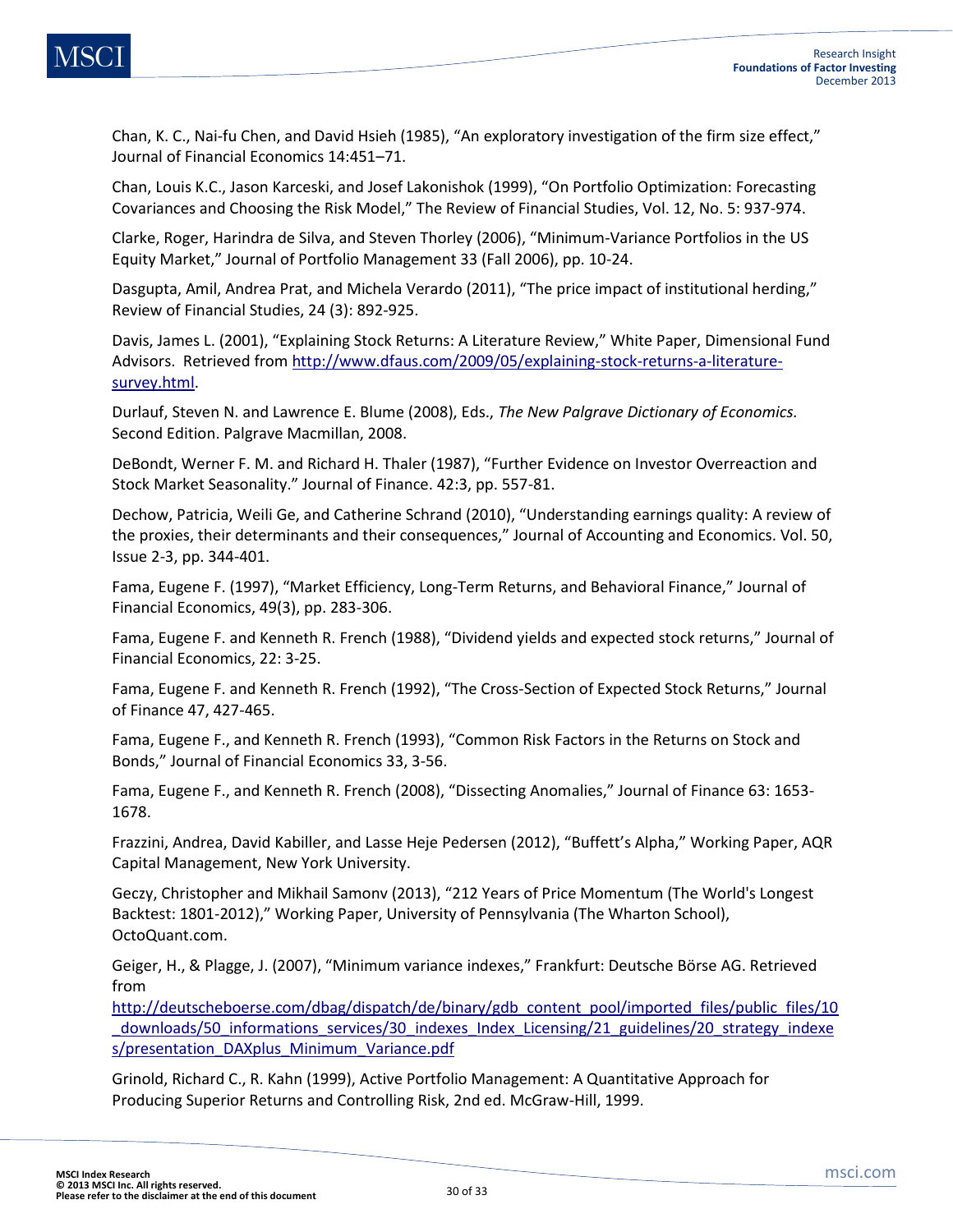Chan, K. C., Nai-fu Chen, and David Hsieh (1985), "An exploratory investigation of the firm size effect," Journal of Financial Economics 14:451–71.

Chan, Louis K.C., Jason Karceski, and Josef Lakonishok (1999), "On Portfolio Optimization: Forecasting Covariances and Choosing the Risk Model," The Review of Financial Studies, Vol. 12, No. 5: 937-974.

Clarke, Roger, Harindra de Silva, and Steven Thorley (2006), "Minimum-Variance Portfolios in the US Equity Market," Journal of Portfolio Management 33 (Fall 2006), pp. 10-24.

Dasgupta, Amil, Andrea Prat, and Michela Verardo (2011), "The price impact of institutional herding," Review of Financial Studies, 24 (3): 892-925.

Davis, James L. (2001), "Explaining Stock Returns: A Literature Review," White Paper, Dimensional Fund Advisors. Retrieved from [http://www.dfaus.com/2009/05/explaining-stock-returns-a-literature](http://www.dfaus.com/2009/05/explaining-stock-returns-a-literature-survey.html)[survey.html.](http://www.dfaus.com/2009/05/explaining-stock-returns-a-literature-survey.html)

Durlauf, Steven N. and Lawrence E. Blume (2008), Eds., *The New Palgrave Dictionary of Economics.*  Second Edition. Palgrave Macmillan, 2008.

DeBondt, Werner F. M. and Richard H. Thaler (1987), "Further Evidence on Investor Overreaction and Stock Market Seasonality." Journal of Finance. 42:3, pp. 557-81.

Dechow, Patricia, Weili Ge, and Catherine Schrand (2010), "Understanding earnings quality: A review of the proxies, their determinants and their consequences," Journal of Accounting and Economics. Vol. 50, Issue 2-3, pp. 344-401.

Fama, Eugene F. (1997), "Market Efficiency, Long-Term Returns, and Behavioral Finance," Journal of Financial Economics, 49(3), pp. 283-306.

Fama, Eugene F. and Kenneth R. French (1988), "Dividend yields and expected stock returns," Journal of Financial Economics, 22: 3-25.

Fama, Eugene F. and Kenneth R. French (1992), "The Cross-Section of Expected Stock Returns," Journal of Finance 47, 427-465.

Fama, Eugene F., and Kenneth R. French (1993), "Common Risk Factors in the Returns on Stock and Bonds," Journal of Financial Economics 33, 3-56.

Fama, Eugene F., and Kenneth R. French (2008), "Dissecting Anomalies," Journal of Finance 63: 1653- 1678.

Frazzini, Andrea, David Kabiller, and Lasse Heje Pedersen (2012), "Buffett's Alpha," Working Paper, AQR Capital Management, New York University.

Geczy, Christopher and Mikhail Samonv (2013), "212 Years of Price Momentum (The World's Longest Backtest: 1801-2012)," Working Paper, University of Pennsylvania (The Wharton School), OctoQuant.com.

Geiger, H., & Plagge, J. (2007), "Minimum variance indexes," Frankfurt: Deutsche Börse AG. Retrieved from

[http://deutscheboerse.com/dbag/dispatch/de/binary/gdb\\_content\\_pool/imported\\_files/public\\_files/10](http://deutscheboerse.com/dbag/dispatch/de/binary/gdb_content_pool/imported_files/public_files/10_downloads/50_informations_services/30_Indices_Index_Licensing/21_guidelines/20_strategy_indices/presentation_DAXplus_Minimum_Variance.pdf) downloads/50 informations services/30 indexes Index Licensing/21 guidelines/20 strategy indexe [s/presentation\\_DAXplus\\_Minimum\\_Variance.pdf](http://deutscheboerse.com/dbag/dispatch/de/binary/gdb_content_pool/imported_files/public_files/10_downloads/50_informations_services/30_Indices_Index_Licensing/21_guidelines/20_strategy_indices/presentation_DAXplus_Minimum_Variance.pdf)

Grinold, Richard C., R. Kahn (1999), Active Portfolio Management: A Quantitative Approach for Producing Superior Returns and Controlling Risk, 2nd ed. McGraw-Hill, 1999.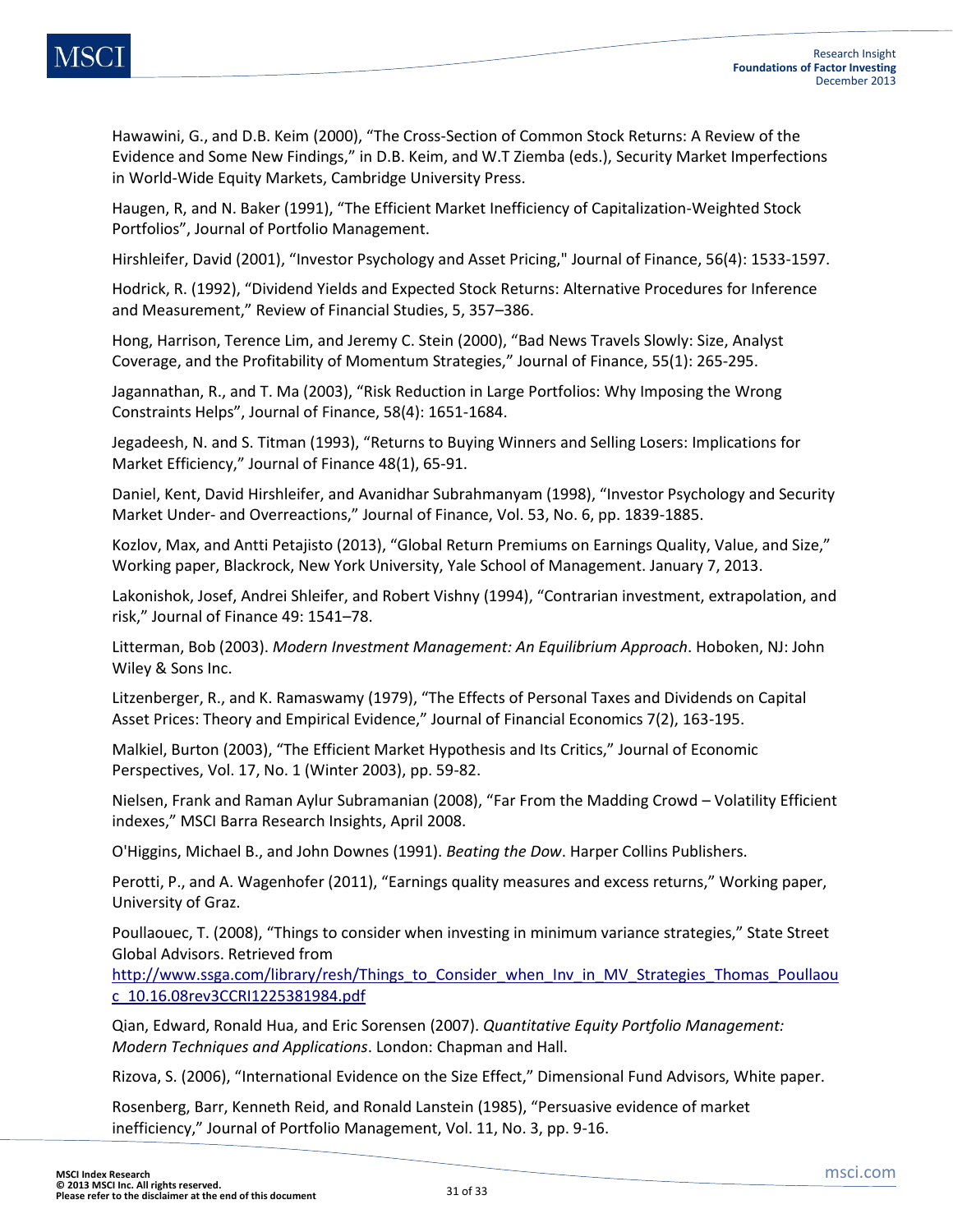Hawawini, G., and D.B. Keim (2000), "The Cross-Section of Common Stock Returns: A Review of the Evidence and Some New Findings," in D.B. Keim, and W.T Ziemba (eds.), Security Market Imperfections in World-Wide Equity Markets, Cambridge University Press.

Haugen, R, and N. Baker (1991), "The Efficient Market Inefficiency of Capitalization-Weighted Stock Portfolios", Journal of Portfolio Management.

Hirshleifer, David (2001), "Investor Psychology and Asset Pricing," Journal of Finance, 56(4): 1533-1597.

Hodrick, R. (1992), "Dividend Yields and Expected Stock Returns: Alternative Procedures for Inference and Measurement," Review of Financial Studies, 5, 357–386.

Hong, Harrison, Terence Lim, and Jeremy C. Stein (2000), "Bad News Travels Slowly: Size, Analyst Coverage, and the Profitability of Momentum Strategies," Journal of Finance, 55(1): 265-295.

Jagannathan, R., and T. Ma (2003), "Risk Reduction in Large Portfolios: Why Imposing the Wrong Constraints Helps", Journal of Finance, 58(4): 1651-1684.

Jegadeesh, N. and S. Titman (1993), "Returns to Buying Winners and Selling Losers: Implications for Market Efficiency," Journal of Finance 48(1), 65-91.

Daniel, Kent, David Hirshleifer, and Avanidhar Subrahmanyam (1998), "Investor Psychology and Security Market Under- and Overreactions," Journal of Finance, Vol. 53, No. 6, pp. 1839-1885.

Kozlov, Max, and Antti Petajisto (2013), "Global Return Premiums on Earnings Quality, Value, and Size," Working paper, Blackrock, New York University, Yale School of Management. January 7, 2013.

Lakonishok, Josef, Andrei Shleifer, and Robert Vishny (1994), "Contrarian investment, extrapolation, and risk," Journal of Finance 49: 1541–78.

Litterman, Bob (2003). *Modern Investment Management: An Equilibrium Approach*. Hoboken, NJ: John Wiley & Sons Inc.

Litzenberger, R., and K. Ramaswamy (1979), "The Effects of Personal Taxes and Dividends on Capital Asset Prices: Theory and Empirical Evidence," Journal of Financial Economics 7(2), 163-195.

Malkiel, Burton (2003), "The Efficient Market Hypothesis and Its Critics," Journal of Economic Perspectives, Vol. 17, No. 1 (Winter 2003), pp. 59-82.

Nielsen, Frank and Raman Aylur Subramanian (2008), "Far From the Madding Crowd – Volatility Efficient indexes," MSCI Barra Research Insights, April 2008.

O'Higgins, Michael B., and John Downes (1991). *Beating the Dow*. Harper Collins Publishers.

Perotti, P., and A. Wagenhofer (2011), "Earnings quality measures and excess returns," Working paper, University of Graz.

Poullaouec, T. (2008), "Things to consider when investing in minimum variance strategies," State Street Global Advisors. Retrieved from

[http://www.ssga.com/library/resh/Things\\_to\\_Consider\\_when\\_Inv\\_in\\_MV\\_Strategies\\_Thomas\\_Poullaou](http://www.ssga.com/library/resh/Things_to_Consider_when_Inv_in_MV_Strategies_Thomas_Poullaouc_10.16.08rev3CCRI1225381984.pdf) [c\\_10.16.08rev3CCRI1225381984.pdf](http://www.ssga.com/library/resh/Things_to_Consider_when_Inv_in_MV_Strategies_Thomas_Poullaouc_10.16.08rev3CCRI1225381984.pdf)

Qian, Edward, Ronald Hua, and Eric Sorensen (2007). *Quantitative Equity Portfolio Management: Modern Techniques and Applications*. London: Chapman and Hall.

Rizova, S. (2006), "International Evidence on the Size Effect," Dimensional Fund Advisors, White paper.

Rosenberg, Barr, Kenneth Reid, and Ronald Lanstein (1985), "Persuasive evidence of market inefficiency," Journal of Portfolio Management, Vol. 11, No. 3, pp. 9-16.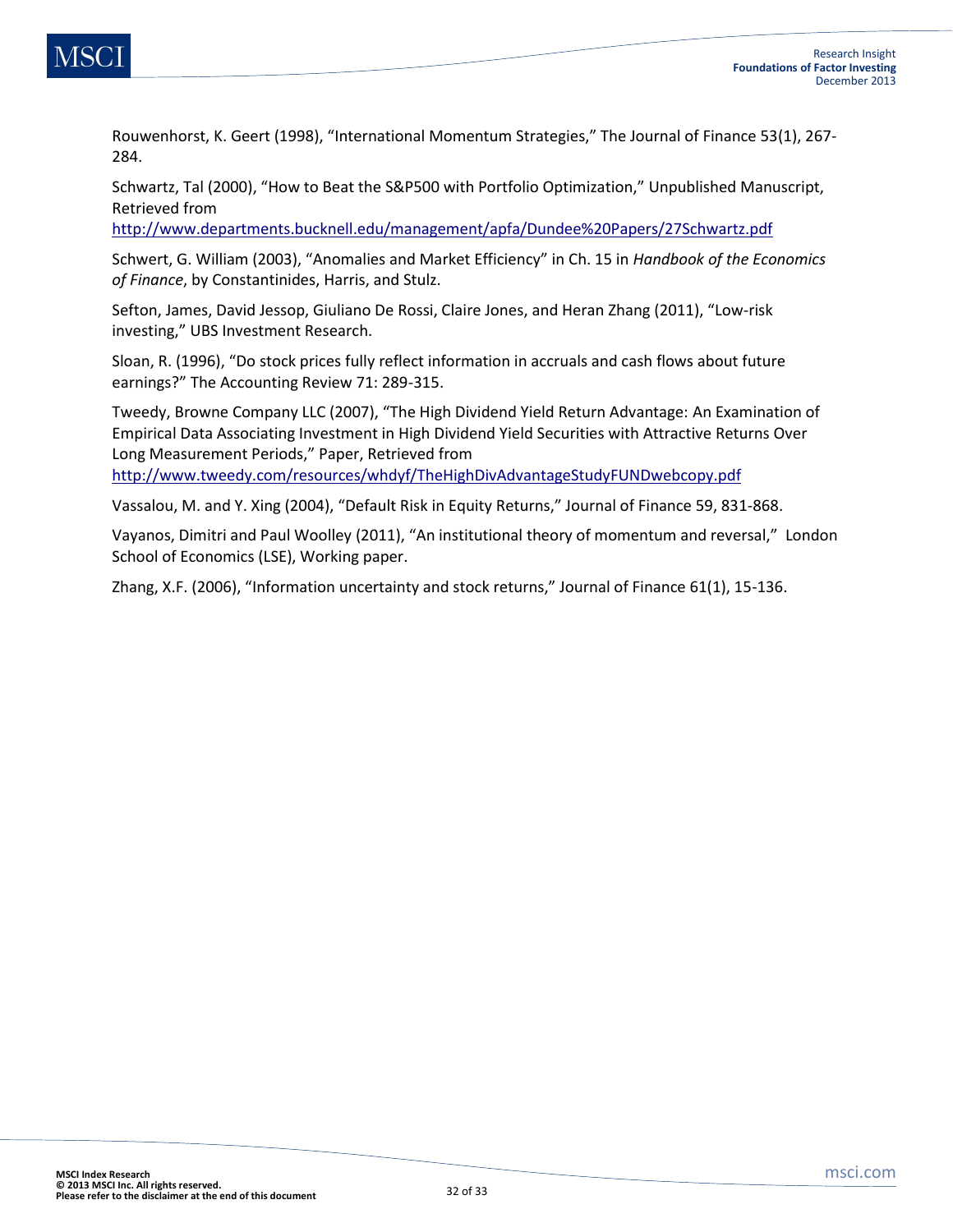![](_page_31_Picture_0.jpeg)

Rouwenhorst, K. Geert (1998), "International Momentum Strategies," The Journal of Finance 53(1), 267- 284.

Schwartz, Tal (2000), "How to Beat the S&P500 with Portfolio Optimization," Unpublished Manuscript, Retrieved from

<http://www.departments.bucknell.edu/management/apfa/Dundee%20Papers/27Schwartz.pdf>

Schwert, G. William (2003), "Anomalies and Market Efficiency" in Ch. 15 in *Handbook of the Economics of Finance*, by Constantinides, Harris, and Stulz.

Sefton, James, David Jessop, Giuliano De Rossi, Claire Jones, and Heran Zhang (2011), "Low-risk investing," UBS Investment Research.

Sloan, R. (1996), "Do stock prices fully reflect information in accruals and cash flows about future earnings?" The Accounting Review 71: 289-315.

Tweedy, Browne Company LLC (2007), "The High Dividend Yield Return Advantage: An Examination of Empirical Data Associating Investment in High Dividend Yield Securities with Attractive Returns Over Long Measurement Periods," Paper, Retrieved from <http://www.tweedy.com/resources/whdyf/TheHighDivAdvantageStudyFUNDwebcopy.pdf>

Vassalou, M. and Y. Xing (2004), "Default Risk in Equity Returns," Journal of Finance 59, 831-868.

Vayanos, Dimitri and Paul Woolley (2011), "An institutional theory of momentum and reversal," London School of Economics (LSE), Working paper.

Zhang, X.F. (2006), "Information uncertainty and stock returns," Journal of Finance 61(1), 15-136.